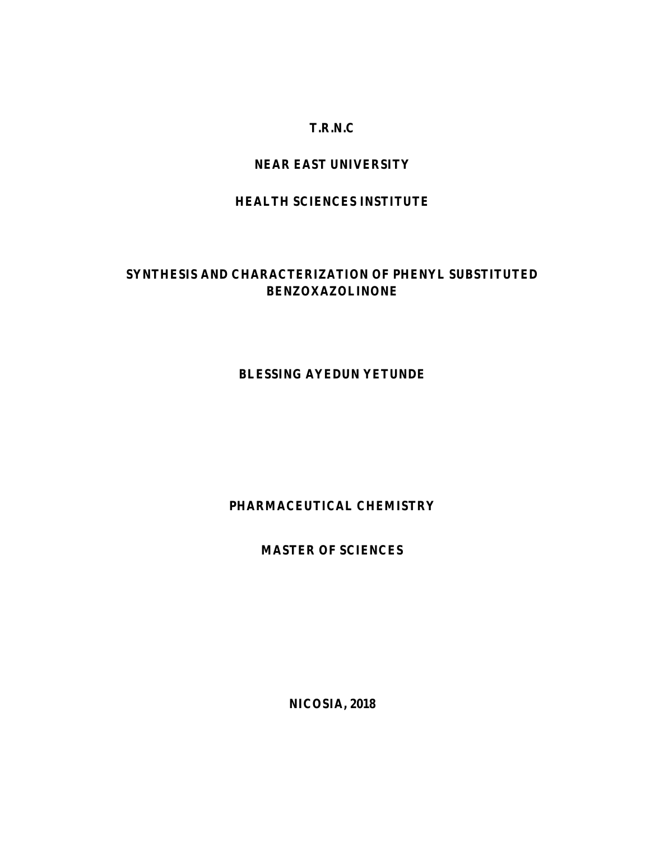# **T.R.N.C**

# **NEAR EAST UNIVERSITY**

# **HEALTH SCIENCES INSTITUTE**

# **SYNTHESIS AND CHARACTERIZATION OF PHENYL SUBSTITUTED BENZOXAZOLINONE**

## **BLESSING AYEDUN YETUNDE**

## **PHARMACEUTICAL CHEMISTRY**

**MASTER OF SCIENCES**

**NICOSIA, 2018**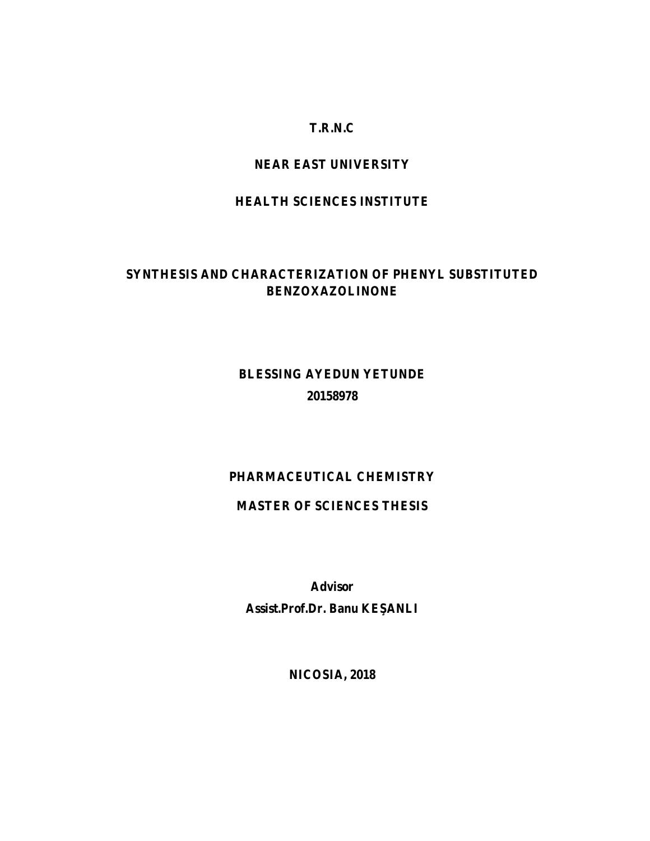# **T.R.N.C**

# **NEAR EAST UNIVERSITY**

# **HEALTH SCIENCES INSTITUTE**

# **SYNTHESIS AND CHARACTERIZATION OF PHENYL SUBSTITUTED BENZOXAZOLINONE**

# **BLESSING AYEDUN YETUNDE 20158978**

## **PHARMACEUTICAL CHEMISTRY**

### **MASTER OF SCIENCES THESIS**

**Advisor Assist.Prof.Dr. Banu KE ANLI** 

**NICOSIA, 2018**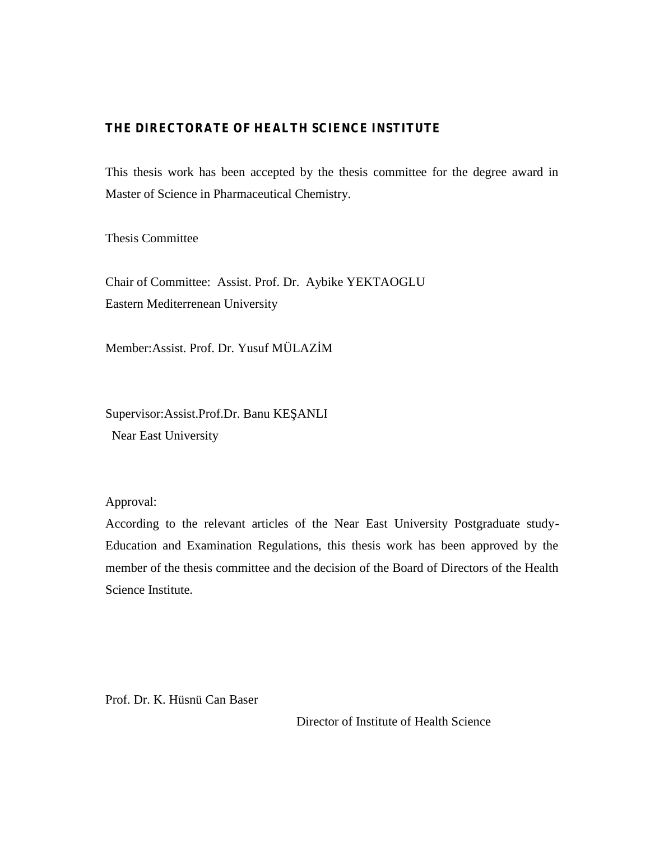## **THE DIRECTORATE OF HEALTH SCIENCE INSTITUTE**

This thesis work has been accepted by the thesis committee for the degree award in Master of Science in Pharmaceutical Chemistry.

Thesis Committee

Chair of Committee: Assist. Prof. Dr. Aybike YEKTAOGLU Eastern Mediterrenean University

Member: Assist. Prof. Dr. Yusuf MÜLAZ M

Supervisor: Assist. Prof. Dr. Banu KE ANLI Near East University

Approval:

According to the relevant articles of the Near East University Postgraduate study- Education and Examination Regulations, this thesis work has been approved by the member of the thesis committee and the decision of the Board of Directors of the Health Science Institute.

Prof. Dr. K. Hüsnü Can Baser

Director of Institute of Health Science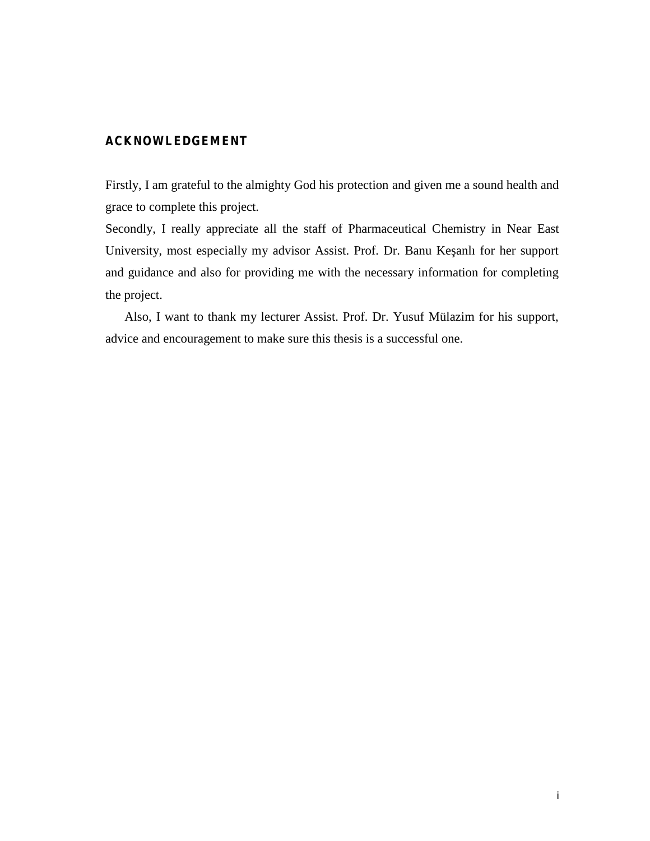### **ACKNOWLEDGEMENT**

Firstly, I am grateful to the almighty God his protection and given me a sound health and grace to complete this project.

Secondly, I really appreciate all the staff of Pharmaceutical Chemistry in Near East University, most especially my advisor Assist. Prof. Dr. Banu Ke anlı for her support and guidance and also for providing me with the necessary information for completing the project.

Also, I want to thank my lecturer Assist. Prof. Dr. Yusuf Mülazim for his support, advice and encouragement to make sure this thesis is a successful one.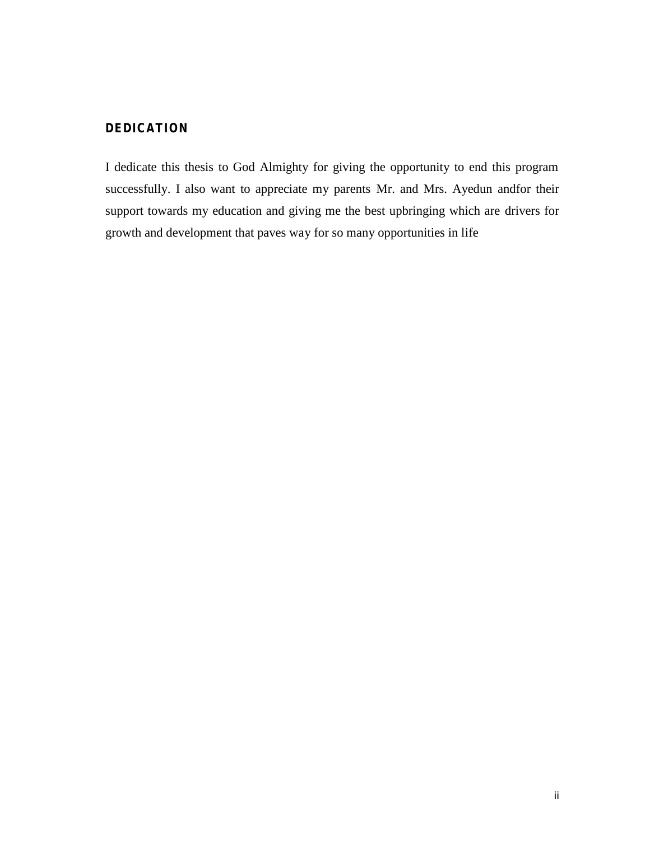# **DEDICATION**

I dedicate this thesis to God Almighty for giving the opportunity to end this program successfully. I also want to appreciate my parents Mr. and Mrs. Ayedun andfor their support towards my education and giving me the best upbringing which are drivers for growth and development that paves way for so many opportunities in life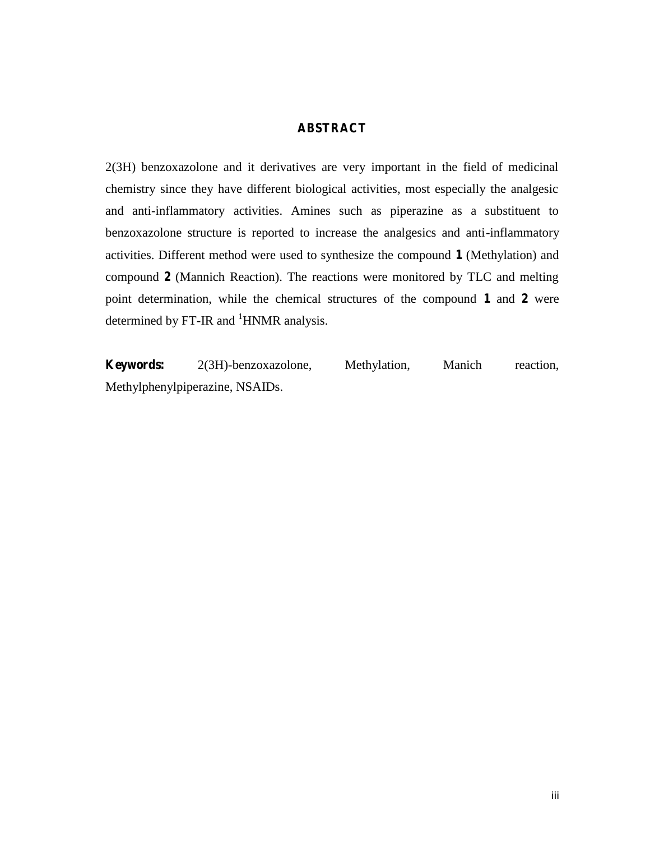## **ABSTRACT**

2(3H) benzoxazolone and it derivatives are very important in the field of medicinal chemistry since they have different biological activities, most especially the analgesic and anti-inflammatory activities. Amines such as piperazine as a substituent to benzoxazolone structure is reported to increase the analgesics and anti-inflammatory activities. Different method were used to synthesize the compound **1** (Methylation) and compound **2** (Mannich Reaction). The reactions were monitored by TLC and melting point determination, while the chemical structures of the compound **1** and **2** were determined by FT-IR and  ${}^{1}$ HNMR analysis.

**Keywords:** 2(3H)-benzoxazolone, Methylation, Manich reaction, Methylphenylpiperazine, NSAIDs.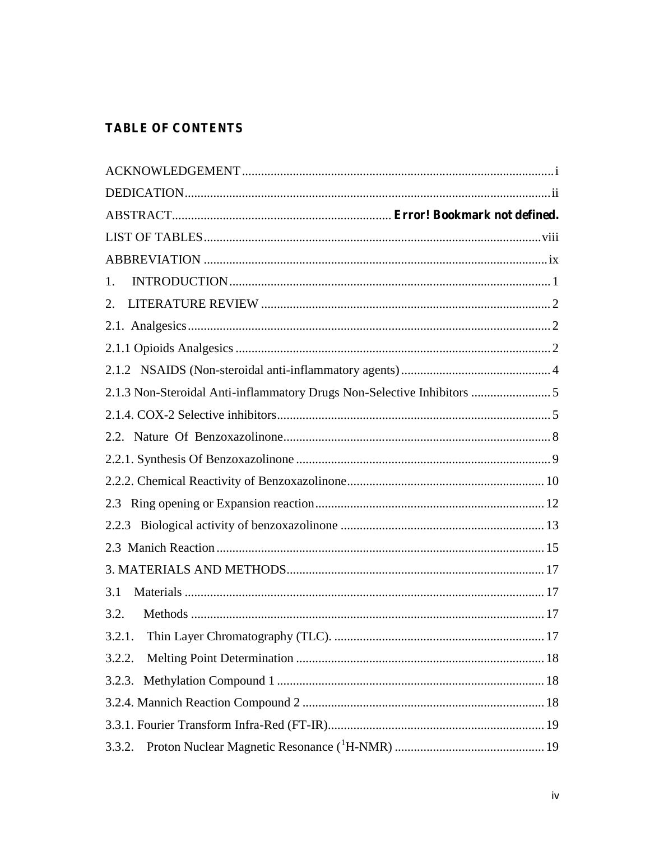# **TABLE OF CONTENTS**

| 1.                                                                      |  |
|-------------------------------------------------------------------------|--|
| 2.                                                                      |  |
|                                                                         |  |
|                                                                         |  |
|                                                                         |  |
| 2.1.3 Non-Steroidal Anti-inflammatory Drugs Non-Selective Inhibitors  5 |  |
|                                                                         |  |
|                                                                         |  |
|                                                                         |  |
|                                                                         |  |
|                                                                         |  |
|                                                                         |  |
|                                                                         |  |
|                                                                         |  |
| 3.1                                                                     |  |
| 3.2.                                                                    |  |
| 3.2.1.                                                                  |  |
| 3.2.2.                                                                  |  |
|                                                                         |  |
|                                                                         |  |
|                                                                         |  |
| 3.3.2.                                                                  |  |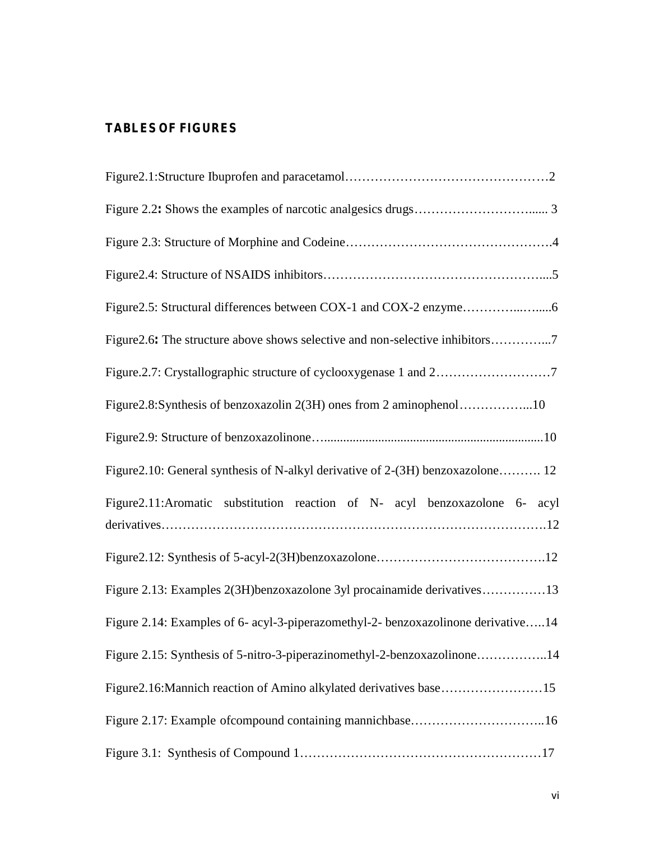# **TABLES OF FIGURES**

| Figure 2.6: The structure above shows selective and non-selective inhibitors7     |
|-----------------------------------------------------------------------------------|
|                                                                                   |
| Figure 2.8: Synthesis of benzoxazolin 2(3H) ones from 2 aminophenol10             |
|                                                                                   |
| Figure 2.10: General synthesis of N-alkyl derivative of 2-(3H) benzoxazolone 12   |
| Figure 2.11: Aromatic substitution reaction of N- acyl benzoxazolone 6- acyl      |
|                                                                                   |
| Figure 2.13: Examples 2(3H)benzoxazolone 3yl procainamide derivatives13           |
| Figure 2.14: Examples of 6- acyl-3-piperazomethyl-2- benzoxazolinone derivative14 |
| Figure 2.15: Synthesis of 5-nitro-3-piperazinomethyl-2-benzoxazolinone14          |
| Figure 2.16: Mannich reaction of Amino alkylated derivatives base15               |
| Figure 2.17: Example of compound containing mannichbase16                         |
|                                                                                   |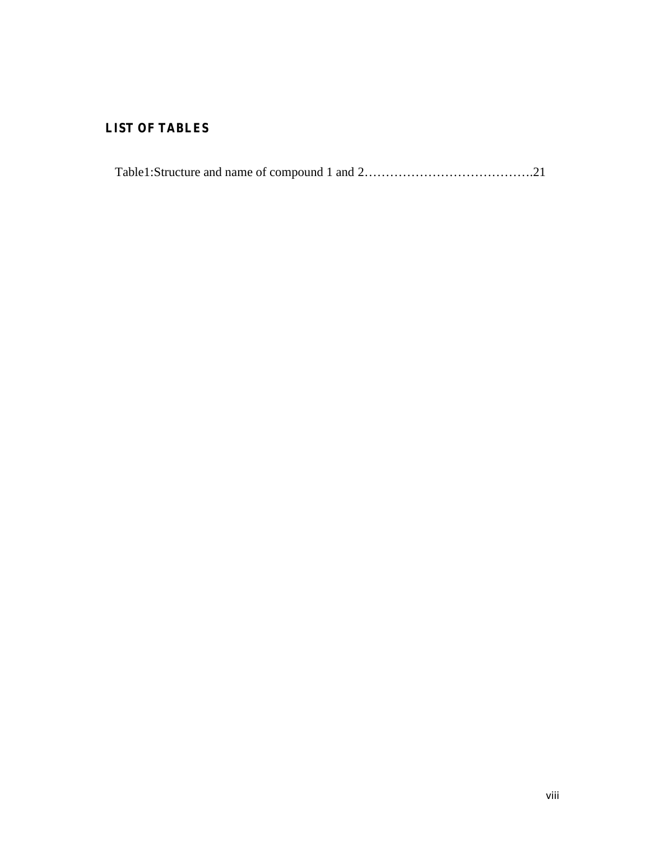# **LIST OF TABLES**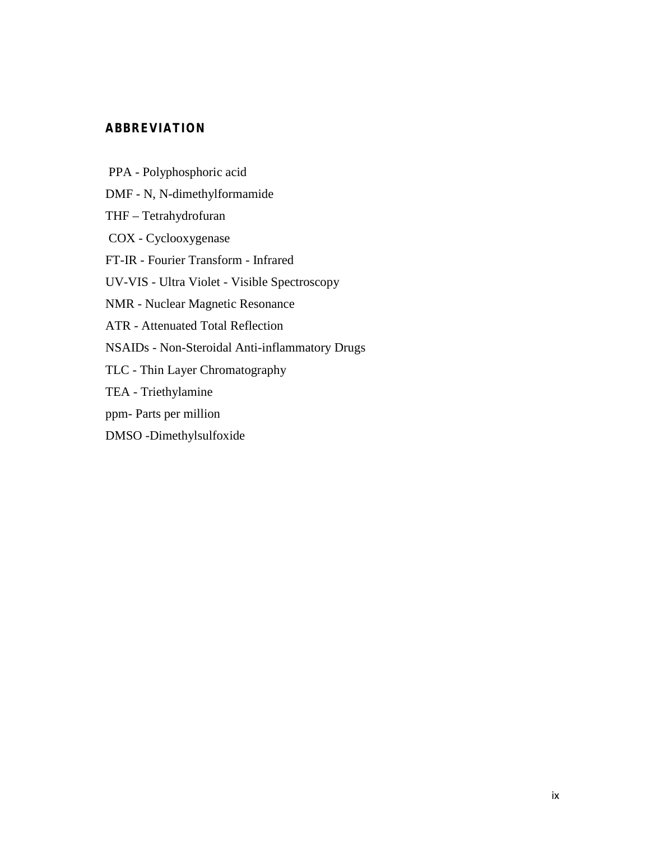## **ABBREVIATION**

- PPA Polyphosphoric acid
- DMF N, N-dimethylformamide
- THF Tetrahydrofuran
- COX Cyclooxygenase
- FT-IR Fourier Transform Infrared
- UV-VIS Ultra Violet Visible Spectroscopy
- NMR Nuclear Magnetic Resonance
- ATR Attenuated Total Reflection
- NSAIDs Non-Steroidal Anti-inflammatory Drugs
- TLC Thin Layer Chromatography
- TEA Triethylamine
- ppm- Parts per million
- DMSO -Dimethylsulfoxide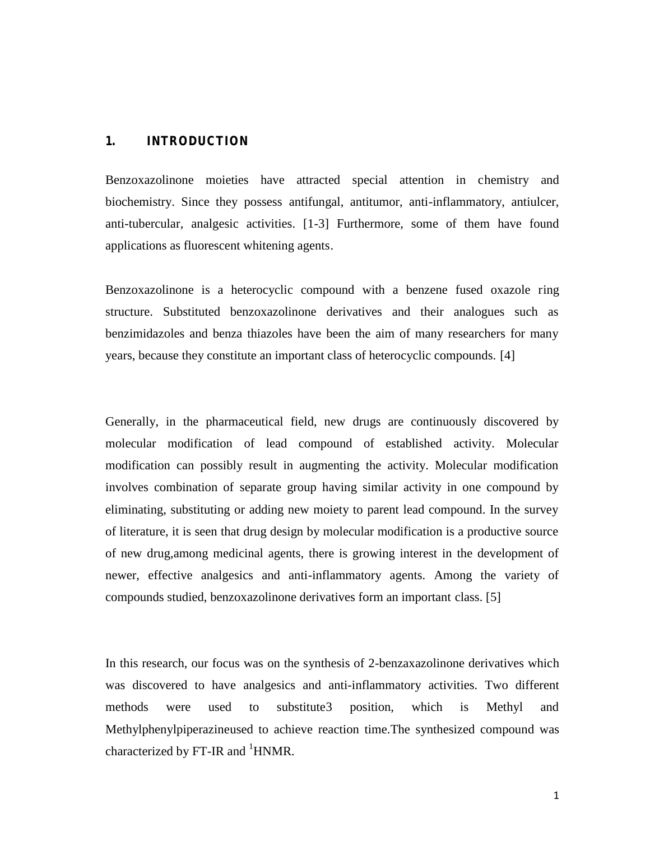### **1. INTRODUCTION**

Benzoxazolinone moieties have attracted special attention in chemistry and biochemistry. Since they possess antifungal, antitumor, anti-inflammatory, antiulcer, anti-tubercular, analgesic activities. [1-3] Furthermore, some of them have found applications as fluorescent whitening agents.

Benzoxazolinone is a heterocyclic compound with a benzene fused oxazole ring structure. Substituted benzoxazolinone derivatives and their analogues such as benzimidazoles and benza thiazoles have been the aim of many researchers for many years, because they constitute an important class of heterocyclic compounds. [4]

Generally, in the pharmaceutical field, new drugs are continuously discovered by molecular modification of lead compound of established activity. Molecular modification can possibly result in augmenting the activity. Molecular modification involves combination of separate group having similar activity in one compound by eliminating, substituting or adding new moiety to parent lead compound. In the survey of literature, it is seen that drug design by molecular modification is a productive source of new drug,among medicinal agents, there is growing interest in the development of newer, effective analgesics and anti-inflammatory agents. Among the variety of compounds studied, benzoxazolinone derivatives form an important class. [5]

In this research, our focus was on the synthesis of 2-benzaxazolinone derivatives which was discovered to have analgesics and anti-inflammatory activities. Two different methods were used to substitute3 position, which is Methyl and Methylphenylpiperazineused to achieve reaction time.The synthesized compound was characterized by FT-IR and  ${}^{1}$ HNMR.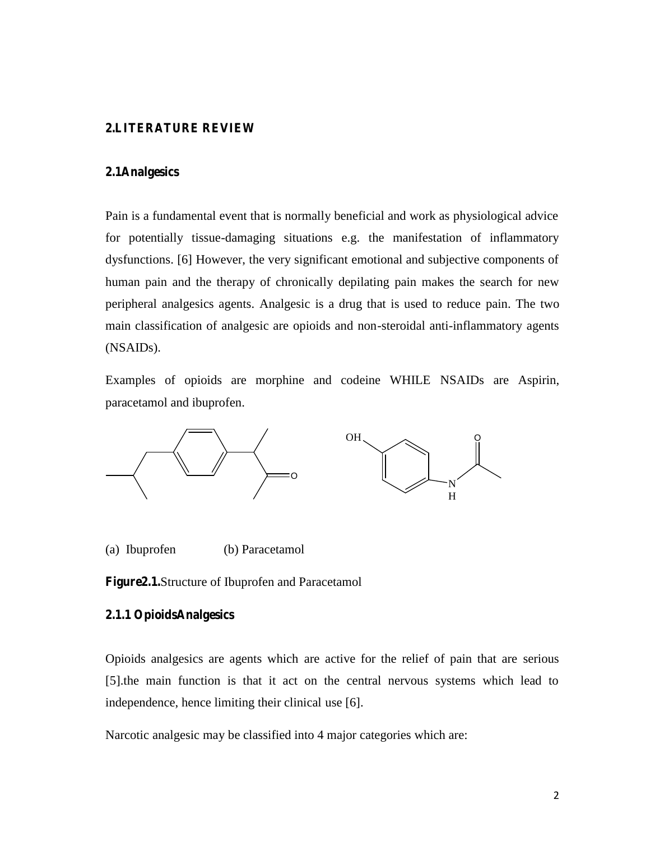### **2.LITERATURE REVIEW**

#### **2.1Analgesics**

Pain is a fundamental event that is normally beneficial and work as physiological advice for potentially tissue-damaging situations e.g. the manifestation of inflammatory dysfunctions. [6] However, the very significant emotional and subjective components of human pain and the therapy of chronically depilating pain makes the search for new peripheral analgesics agents. Analgesic is a drug that is used to reduce pain. The two main classification of analgesic are opioids and non-steroidal anti-inflammatory agents (NSAIDs).

Examples of opioids are morphine and codeine WHILE NSAIDs are Aspirin, paracetamol and ibuprofen.



(a) Ibuprofen (b) Paracetamol

**Figure2.1.**Structure of Ibuprofen and Paracetamol

# **2.1.1 OpioidsAnalgesics**

Opioids analgesics are agents which are active for the relief of pain that are serious [5].the main function is that it act on the central nervous systems which lead to independence, hence limiting their clinical use [6].

Narcotic analgesic may be classified into 4 major categories which are: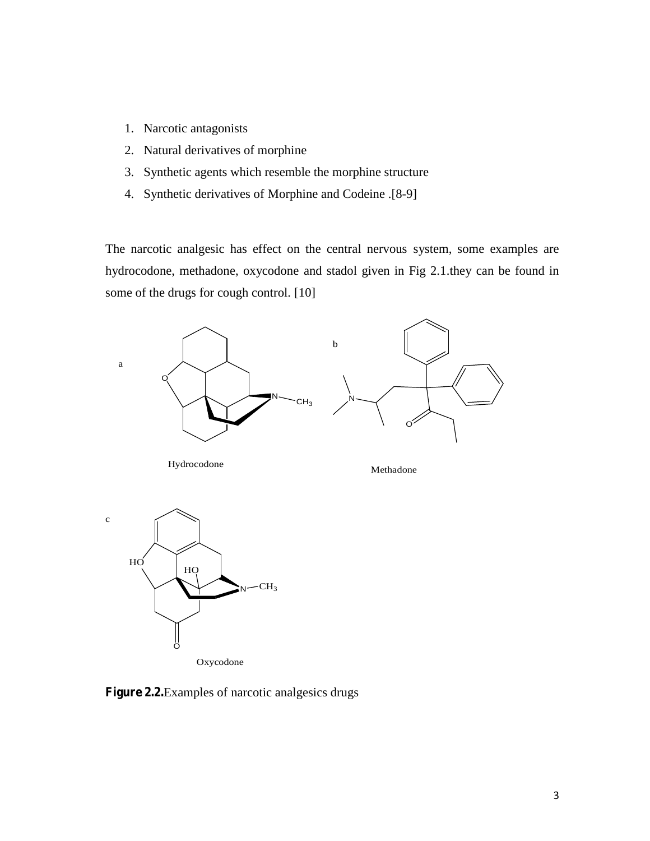- 1. Narcotic antagonists
- 2. Natural derivatives of morphine
- 3. Synthetic agents which resemble the morphine structure
- 4. Synthetic derivatives of Morphine and Codeine .[8-9]

The narcotic analgesic has effect on the central nervous system, some examples are hydrocodone, methadone, oxycodone and stadol given in Fig 2.1.they can be found in some of the drugs for cough control. [10]



Oxycodone

**Figure 2.2.**Examples of narcotic analgesics drugs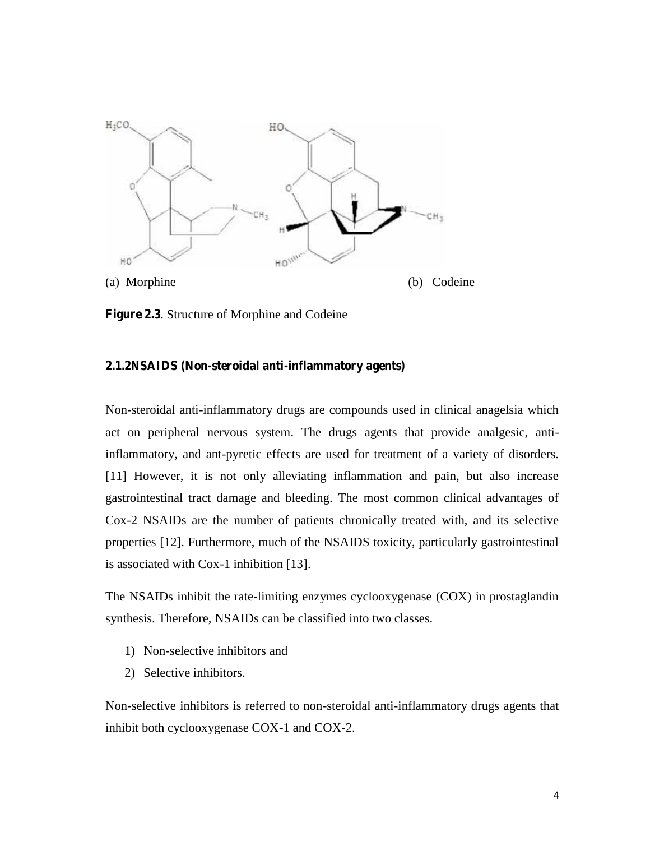

**Figure 2.3**. Structure of Morphine and Codeine

#### **2.1.2NSAIDS (Non-steroidal anti-inflammatory agents) agents)**

Non-steroidal anti-inflammatory drugs are compounds used in clinical anagelsia which act on peripheral nervous system. The drugs agents that provide analgesic, antiinflammatory, and ant-pyretic effects are used for treatment of a variety of disorders. [11] However, it is not only alleviating inflammation and pain, but also increase gastrointestinal tract damage and bleeding. The most common clinical advantages of [11] However, it is not only alleviating inflammation and pain, but also increase<br>gastrointestinal tract damage and bleeding. The most common clinical advantages of<br>Cox-2 NSAIDs are the number of patients chronically treat properties [12]. Furthermore, much of the NSAIDS toxicity, particularly gastrointestinal<br>is associated with Cox-1 inhibition [13].<br>The NSAIDs inhibit the rate-limiting enzymes cyclooxygenase (COX) in prostaglandin is associated with Cox-1 inhibition [13]. Non-steroidal anti-inflammatory drugs are compounds used in clinical anagelsia which<br>act on peripheral nervous system. The drugs agents that provide analgesic, anti-<br>inflammatory, and ant-pyretic effects are used for treat antages of<br>s selective<br>rointestinal<br>ostaglandin<br>agents that

The NSAIDs inhibit the rate-limiting enzymes cyclooxygenase (COX) in prostaglandin synthesis. Therefore, NSAIDs can be classified into two classes.

- 1) Non-selective inhibitors and
- 2) Selective inhibitors.

Non-selective inhibitors is referred to non-steroidal anti-inflammatory drugs agents that inhibit both cyclooxygenase COX-1 and COX-2.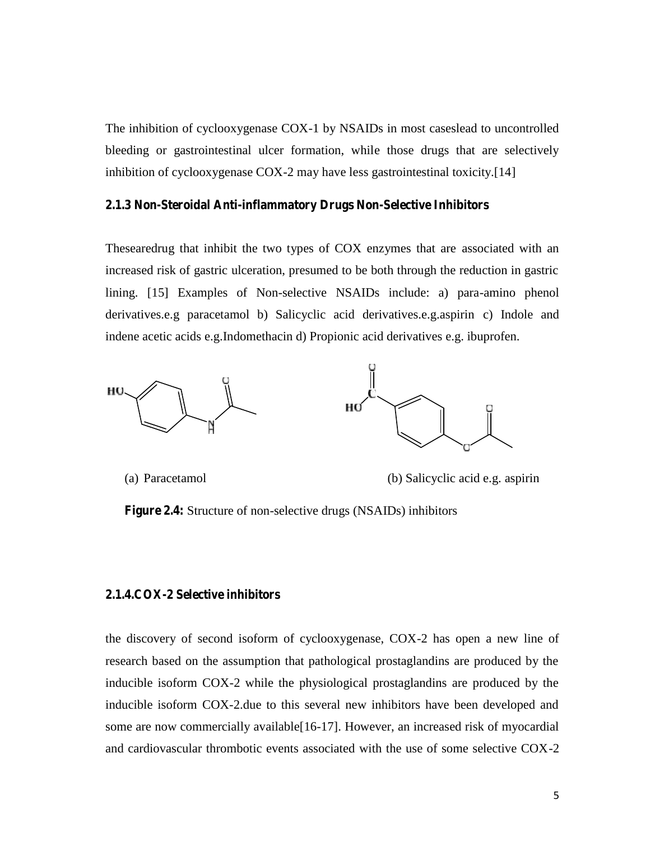The inhibition of cyclooxygenase COX-1 by NSAIDs in most caseslead to uncontrolled bleeding or gastrointestinal ulcer formation, while those drugs that are selectively inhibition of cyclooxygenase COX-2 may have less gastrointestinal toxicity.[14]

#### **2.1.3 Non-Steroidal Anti-inflammatory Drugs Non-Selective Inhibitors**

Thesearedrug that inhibit the two types of COX enzymes that are associated with an increased risk of gastric ulceration, presumed to be both through the reduction in gastric lining. [15] Examples of Non-selective NSAIDs include: a) para-amino phenol derivatives.e.g paracetamol b) Salicyclic acid derivatives.e.g.aspirin c) Indole and indene acetic acids e.g.Indomethacin d) Propionic acid derivatives e.g. ibuprofen.



(a) Paracetamol (b) Salicyclic acid e.g. aspirin

**Figure 2.4:** Structure of non-selective drugs (NSAIDs) inhibitors

#### **2.1.4.COX-2 Selective inhibitors**

the discovery of second isoform of cyclooxygenase, COX-2 has open a new line of research based on the assumption that pathological prostaglandins are produced by the inducible isoform COX-2 while the physiological prostaglandins are produced by the inducible isoform COX-2.due to this several new inhibitors have been developed and some are now commercially available[16-17]. However, an increased risk of myocardial and cardiovascular thrombotic events associated with the use of some selective COX-2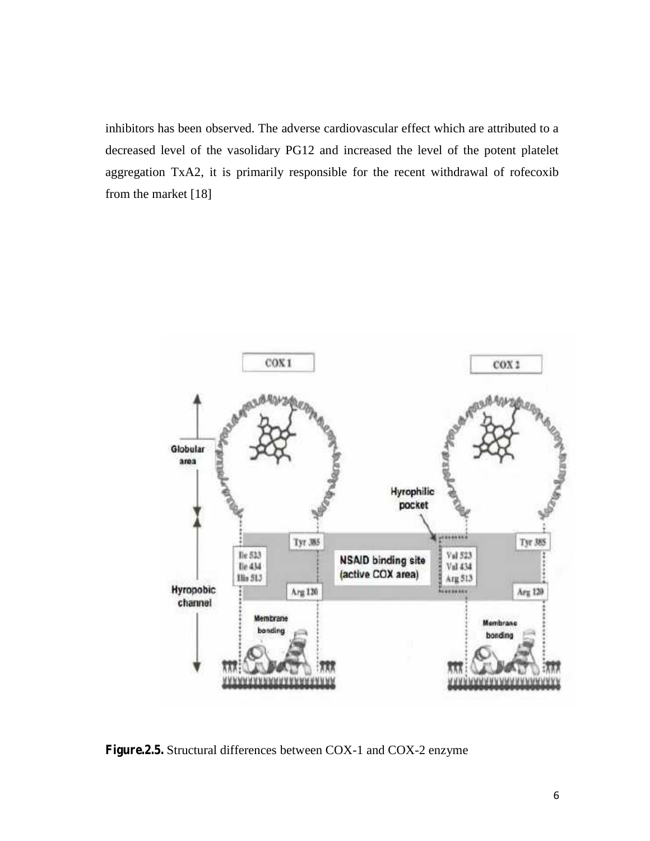inhibitors has been observed. The adverse cardiovascular effect which are attributed to a decreased level of the vasolidary PG12 and increased the level of the potent platelet aggregation TxA2, it is primarily responsible for the recent withdrawal of rofecoxib from the market [18]



**Figure.2.5.** Structural differences between COX-1 and COX-2 enzyme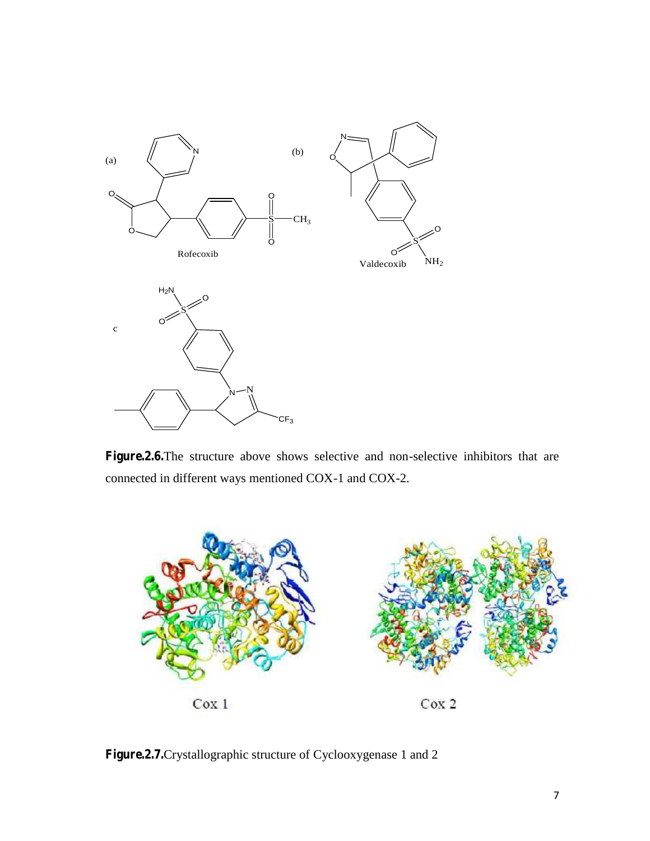

Figure.2.6. The structure above shows selective and non-selective inhibitors that are connected in different ways mentioned COX-1 and COX-2.



**Figure.2.7.**Crystallographic structure of Cyclooxygenase 1 and 2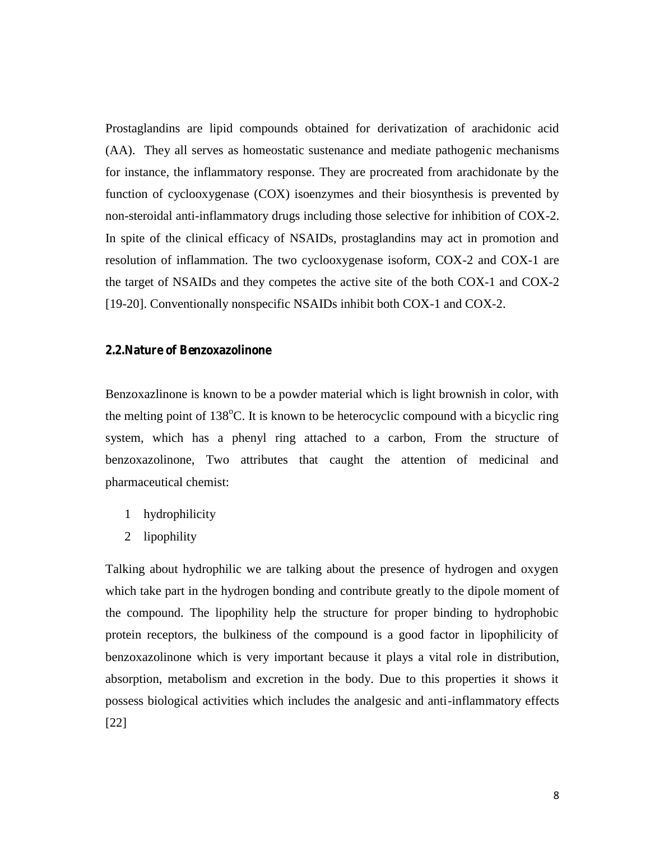Prostaglandins are lipid compounds obtained for derivatization of arachidonic acid (AA). They all serves as homeostatic sustenance and mediate pathogenic mechanisms for instance, the inflammatory response. They are procreated from arachidonate by the function of cyclooxygenase (COX) isoenzymes and their biosynthesis is prevented by non-steroidal anti-inflammatory drugs including those selective for inhibition of COX-2. In spite of the clinical efficacy of NSAIDs, prostaglandins may act in promotion and resolution of inflammation. The two cyclooxygenase isoform, COX-2 and COX-1 are the target of NSAIDs and they competes the active site of the both COX-1 and COX-2 [19-20]. Conventionally nonspecific NSAIDs inhibit both COX-1 and COX-2.

#### **2.2.Nature of Benzoxazolinone**

Benzoxazlinone is known to be a powder material which is light brownish in color, with the melting point of  $138^{\circ}$ C. It is known to be heterocyclic compound with a bicyclic ring system, which has a phenyl ring attached to a carbon, From the structure of benzoxazolinone, Two attributes that caught the attention of medicinal and pharmaceutical chemist:

- 1 hydrophilicity
- 2 lipophility

Talking about hydrophilic we are talking about the presence of hydrogen and oxygen which take part in the hydrogen bonding and contribute greatly to the dipole moment of the compound. The lipophility help the structure for proper binding to hydrophobic protein receptors, the bulkiness of the compound is a good factor in lipophilicity of benzoxazolinone which is very important because it plays a vital role in distribution, absorption, metabolism and excretion in the body. Due to this properties it shows it possess biological activities which includes the analgesic and anti-inflammatory effects [22]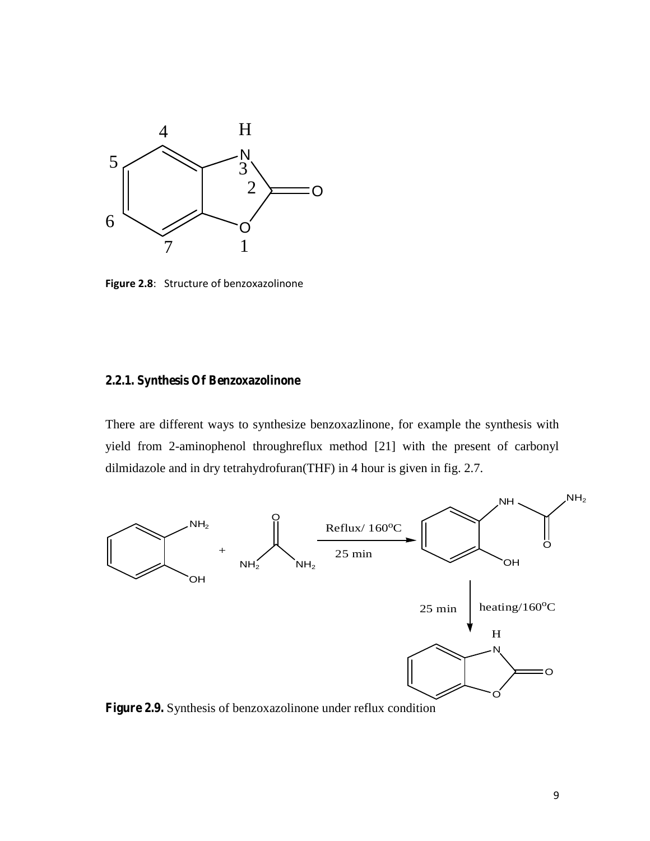

**Figure 2.8**: Structure of benzoxazolinone

# **2.2.1. Synthesis Of Benzoxazolinone**

There are different ways to synthesize benzoxazlinone, for example the synthesis with yield from 2-aminophenol throughreflux method [21] with the present of carbonyl dilmidazole and in dry tetrahydrofuran(THF) in 4 hour is given in fig. 2.7.



**Figure 2.9.** Synthesis of benzoxazolinone under reflux condition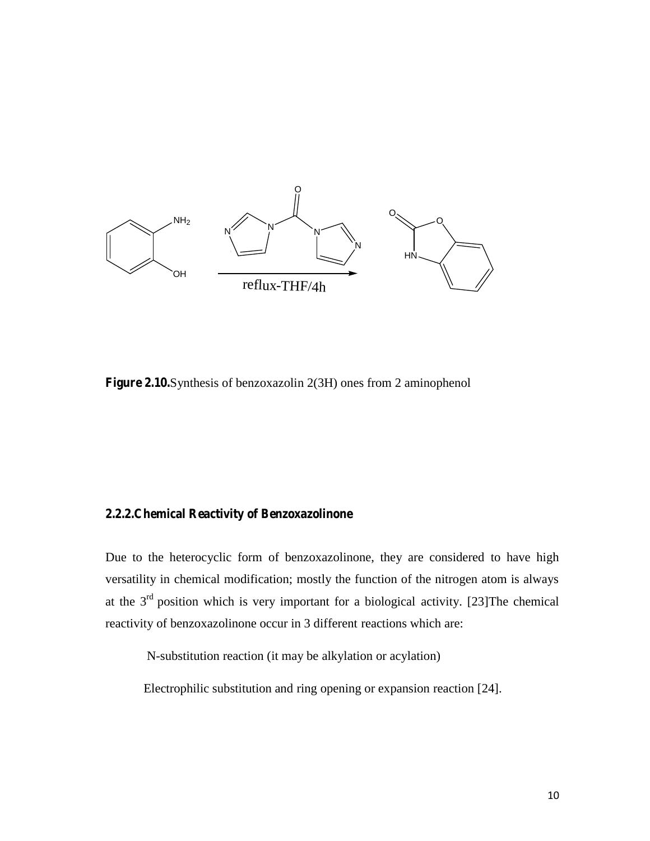

**Figure 2.10.**Synthesis of benzoxazolin 2(3H) ones from 2 aminophenol

### **2.2.2.Chemical Reactivity of Benzoxazolinone**

Due to the heterocyclic form of benzoxazolinone, they are considered to have high versatility in chemical modification; mostly the function of the nitrogen atom is always at the  $3<sup>rd</sup>$  position which is very important for a biological activity. [23] The chemical reactivity of benzoxazolinone occur in 3 different reactions which are:

N-substitution reaction (it may be alkylation or acylation)

Electrophilic substitution and ring opening or expansion reaction [24].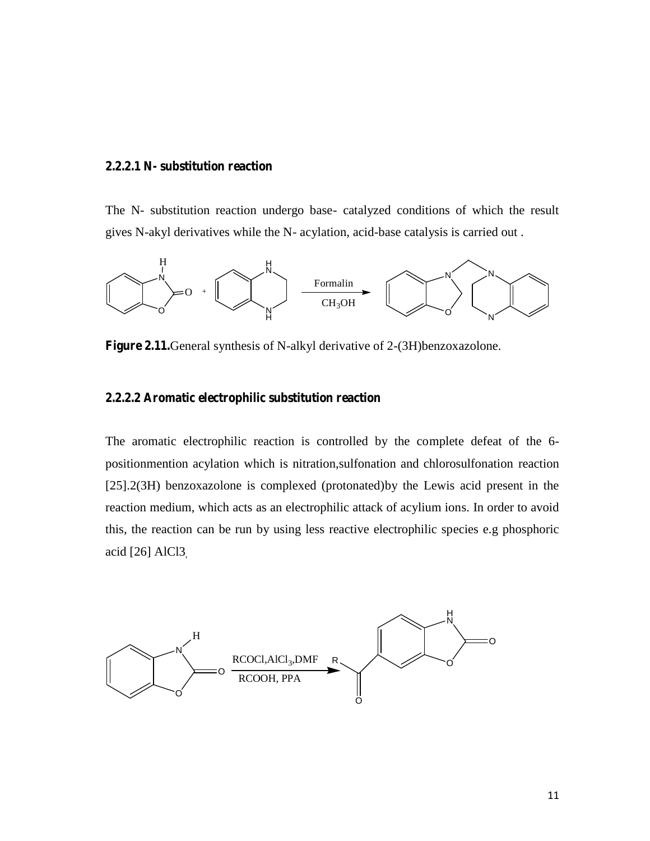### **2.2.2.1 N- substitution reaction**

The N- substitution reaction undergo base- catalyzed conditions of which the result gives N-akyl derivatives while the N- acylation, acid-base catalysis is carried out .



**Figure 2.11.**General synthesis of N-alkyl derivative of 2-(3H)benzoxazolone.

### **2.2.2.2 Aromatic electrophilic substitution reaction**

The aromatic electrophilic reaction is controlled by the complete defeat of the 6 positionmention acylation which is nitration,sulfonation and chlorosulfonation reaction [25].2(3H) benzoxazolone is complexed (protonated)by the Lewis acid present in the reaction medium, which acts as an electrophilic attack of acylium ions. In order to avoid this, the reaction can be run by using less reactive electrophilic species e.g phosphoric acid [26] AlCl3,

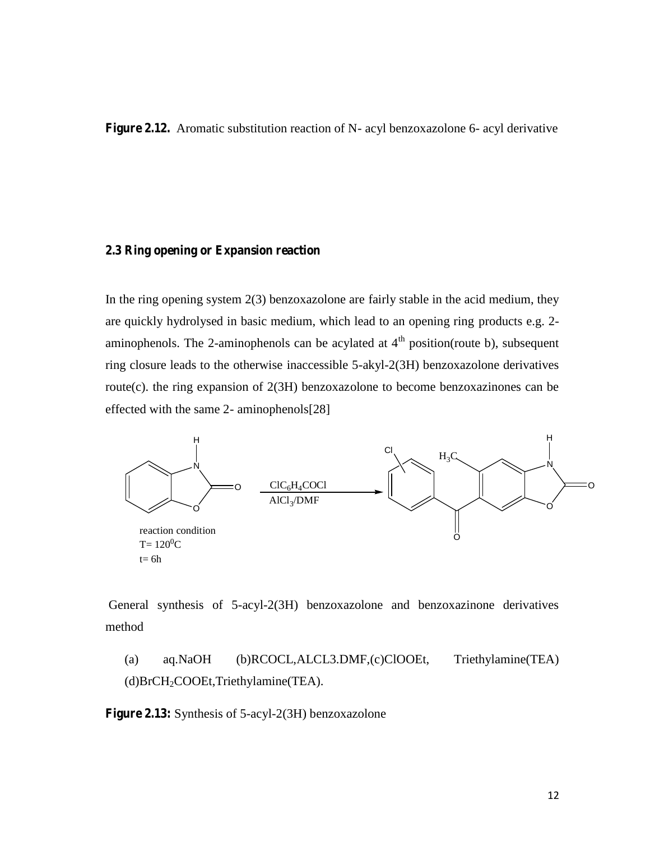**Figure 2.12.** Aromatic substitution reaction of N- acyl benzoxazolone 6- acyl derivative

#### **2.3 Ring opening or Expansion reaction**

In the ring opening system  $2(3)$  benzoxazolone are fairly stable in the acid medium, they are quickly hydrolysed in basic medium, which lead to an opening ring products e.g. 2 aminophenols. The 2-aminophenols can be acylated at  $4<sup>th</sup>$  position(route b), subsequent ring closure leads to the otherwise inaccessible 5-akyl-2(3H) benzoxazolone derivatives route(c). the ring expansion of 2(3H) benzoxazolone to become benzoxazinones can be effected with the same 2- aminophenols[28]



General synthesis of 5-acyl-2(3H) benzoxazolone and benzoxazinone derivatives method

(a) aq.NaOH (b)RCOCL,ALCL3.DMF,(c)ClOOEt, Triethylamine(TEA) (d)BrCH2COOEt,Triethylamine(TEA).

**Figure 2.13:** Synthesis of 5-acyl-2(3H) benzoxazolone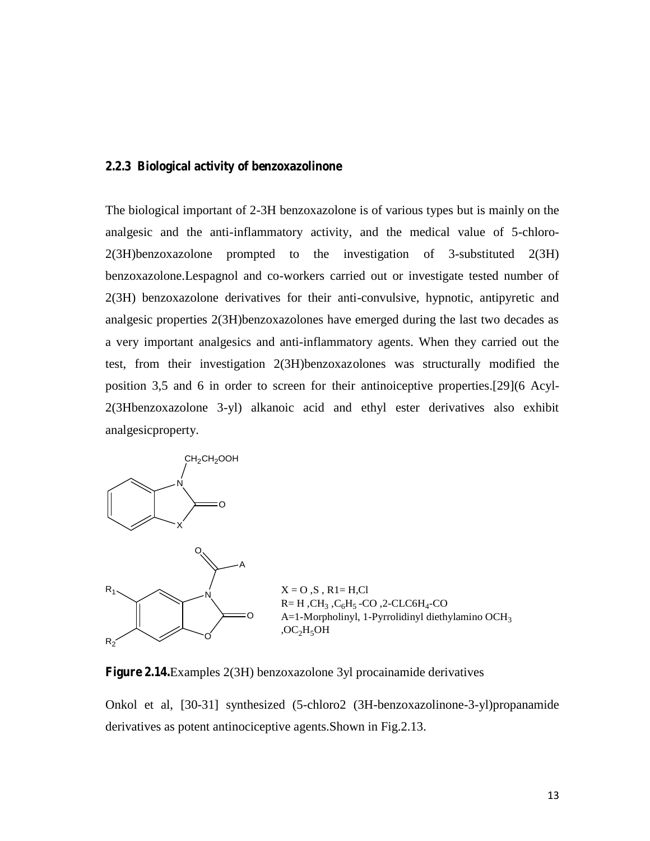#### **2.2.3 Biological activity of benzoxazolinone**

The biological important of 2-3H benzoxazolone is of various types but is mainly on the analgesic and the anti-inflammatory activity, and the medical value of 5-chloro- 2(3H)benzoxazolone prompted to the investigation of 3-substituted 2(3H) benzoxazolone.Lespagnol and co-workers carried out or investigate tested number of 2(3H) benzoxazolone derivatives for their anti-convulsive, hypnotic, antipyretic and analgesic properties 2(3H)benzoxazolones have emerged during the last two decades as a very important analgesics and anti-inflammatory agents. When they carried out the test, from their investigation 2(3H)benzoxazolones was structurally modified the position 3,5 and 6 in order to screen for their antinoiceptive properties.[29](6 Acyl- 2(3Hbenzoxazolone 3-yl) alkanoic acid and ethyl ester derivatives also exhibit analgesicproperty.



**Figure 2.14.**Examples 2(3H) benzoxazolone 3yl procainamide derivatives

Onkol et al, [30-31] synthesized (5-chloro2 (3H-benzoxazolinone-3-yl)propanamide derivatives as potent antinociceptive agents.Shown in Fig.2.13.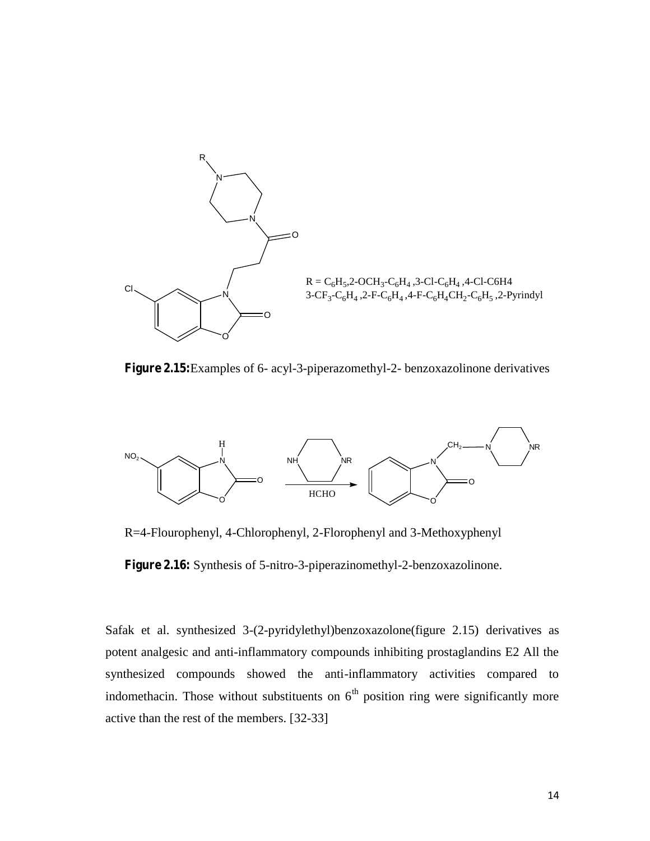

**Figure 2.15:**Examples of 6- acyl-3-piperazomethyl-2- benzoxazolinone derivatives



R=4-Flourophenyl, 4-Chlorophenyl, 2-Florophenyl and 3-Methoxyphenyl

Safak et al. synthesized 3-(2-pyridylethyl)benzoxazolone(figure 2.15) derivatives as potent analgesic and anti-inflammatory compounds inhibiting prostaglandins E2 All the synthesized compounds showed the anti-inflammatory activities compared to indomethacin. Those without substituents on  $6<sup>th</sup>$  position ring were significantly more active than the rest of the members. [32-33]

**Figure 2.16:** Synthesis of 5-nitro-3-piperazinomethyl-2-benzoxazolinone.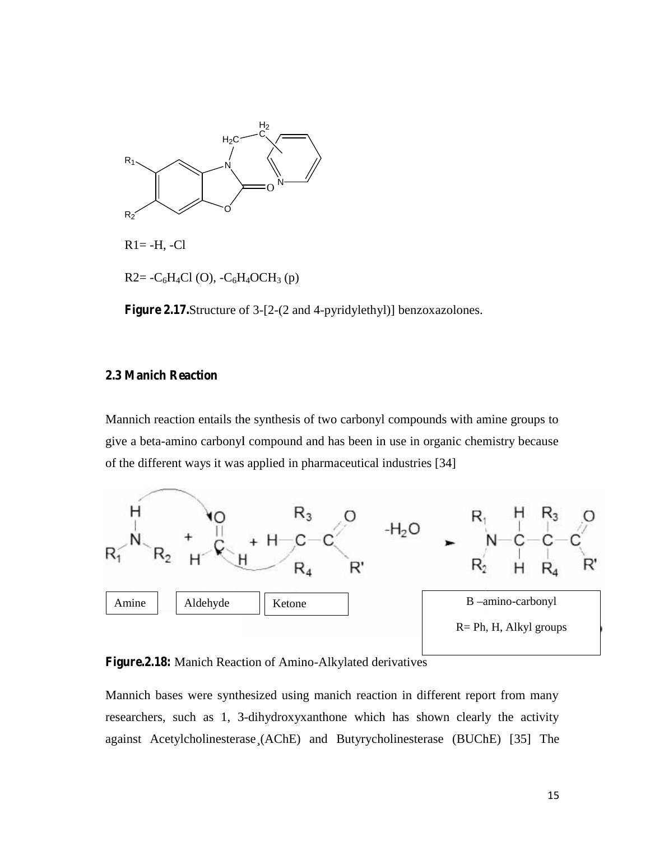

 $R1 = -H$ ,  $-Cl$ 

 $R2 = -C_6H_4Cl$  (O),  $-C_6H_4OCH_3$  (p)

**Figure 2.17.**Structure of 3-[2-(2 and 4-pyridylethyl)] benzoxazolones.

## **2.3 Manich Reaction**

Mannich reaction entails the synthesis of two carbonyl compounds with amine groups to give a beta-amino carbonyl compound and has been in use in organic chemistry because of the different ways it was applied in pharmaceutical industries [34]



**Figure.2.18:** Manich Reaction of Amino-Alkylated derivatives

Mannich bases were synthesized using manich reaction in different report from many researchers, such as 1, 3-dihydroxyxanthone which has shown clearly the activity against Acetylcholinesterase¸(AChE) and Butyrycholinesterase (BUChE) [35] The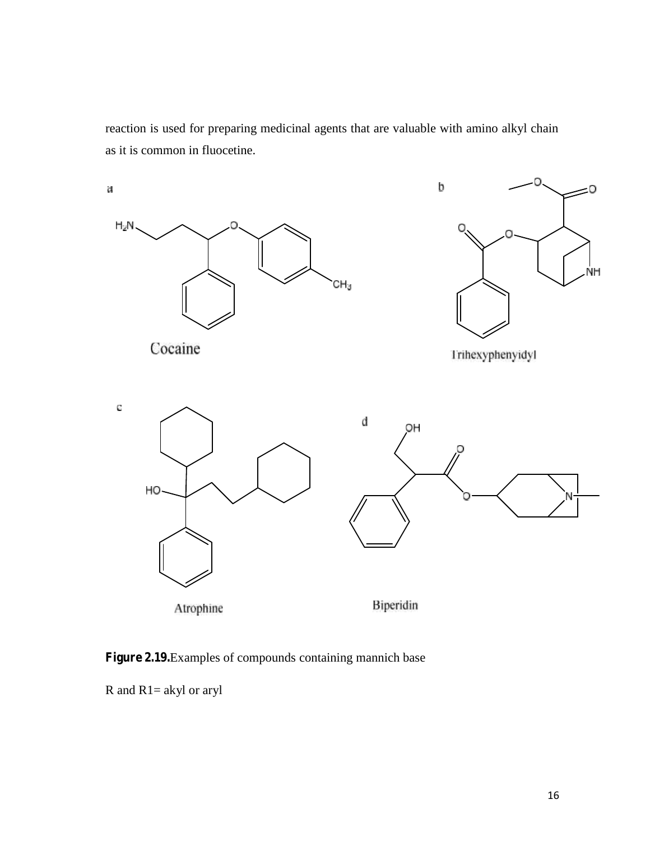reaction is used for preparing medicinal agents that are valuable with amino alkyl chain as it is common in fluocetine.



**Figure 2.19.**Examples of compounds containing mannich base

R and R1= akyl or aryl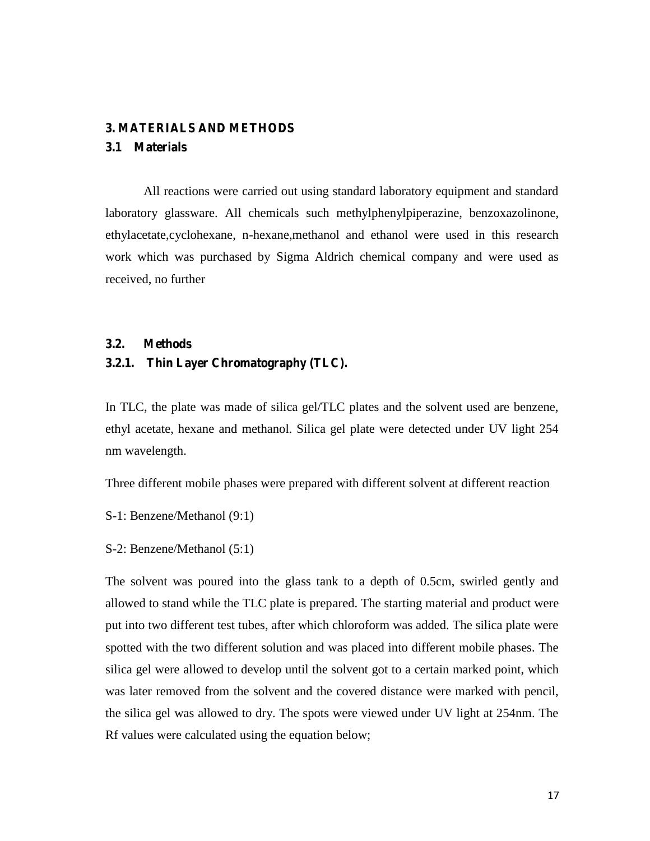# **3. MATERIALS AND METHODS**

### **3.1 Materials**

All reactions were carried out using standard laboratory equipment and standard laboratory glassware. All chemicals such methylphenylpiperazine, benzoxazolinone, ethylacetate,cyclohexane, n-hexane,methanol and ethanol were used in this research work which was purchased by Sigma Aldrich chemical company and were used as received, no further

#### **3.2. Methods**

#### **3.2.1. Thin Layer Chromatography (TLC).**

In TLC, the plate was made of silica gel/TLC plates and the solvent used are benzene, ethyl acetate, hexane and methanol. Silica gel plate were detected under UV light 254 nm wavelength.

Three different mobile phases were prepared with different solvent at different reaction

```
S-1: Benzene/Methanol (9:1)
```
S-2: Benzene/Methanol (5:1)

The solvent was poured into the glass tank to a depth of 0.5cm, swirled gently and allowed to stand while the TLC plate is prepared. The starting material and product were put into two different test tubes, after which chloroform was added. The silica plate were spotted with the two different solution and was placed into different mobile phases. The silica gel were allowed to develop until the solvent got to a certain marked point, which was later removed from the solvent and the covered distance were marked with pencil, the silica gel was allowed to dry. The spots were viewed under UV light at 254nm. The Rf values were calculated using the equation below;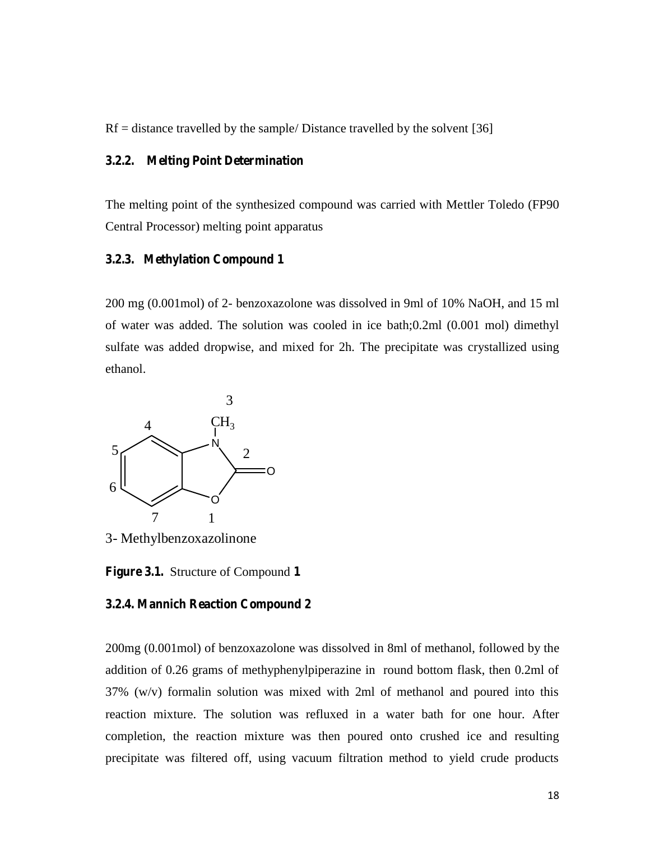$Rf = distance travelled by the sample/Distance travelled by the solvent [36]$ 

#### **3.2.2. Melting Point Determination**

The melting point of the synthesized compound was carried with Mettler Toledo (FP90 Central Processor) melting point apparatus

#### **3.2.3. Methylation Compound 1**

200 mg (0.001mol) of 2- benzoxazolone was dissolved in 9ml of 10% NaOH, and 15 ml of water was added. The solution was cooled in ice bath;0.2ml (0.001 mol) dimethyl sulfate was added dropwise, and mixed for 2h. The precipitate was crystallized using ethanol.



3- Methylbenzoxazolinone

**Figure 3.1.** Structure of Compound **1**

#### **3.2.4. Mannich Reaction Compound 2**

200mg (0.001mol) of benzoxazolone was dissolved in 8ml of methanol, followed by the addition of 0.26 grams of methyphenylpiperazine in round bottom flask, then 0.2ml of 37% (w/v) formalin solution was mixed with 2ml of methanol and poured into this reaction mixture. The solution was refluxed in a water bath for one hour. After completion, the reaction mixture was then poured onto crushed ice and resulting precipitate was filtered off, using vacuum filtration method to yield crude products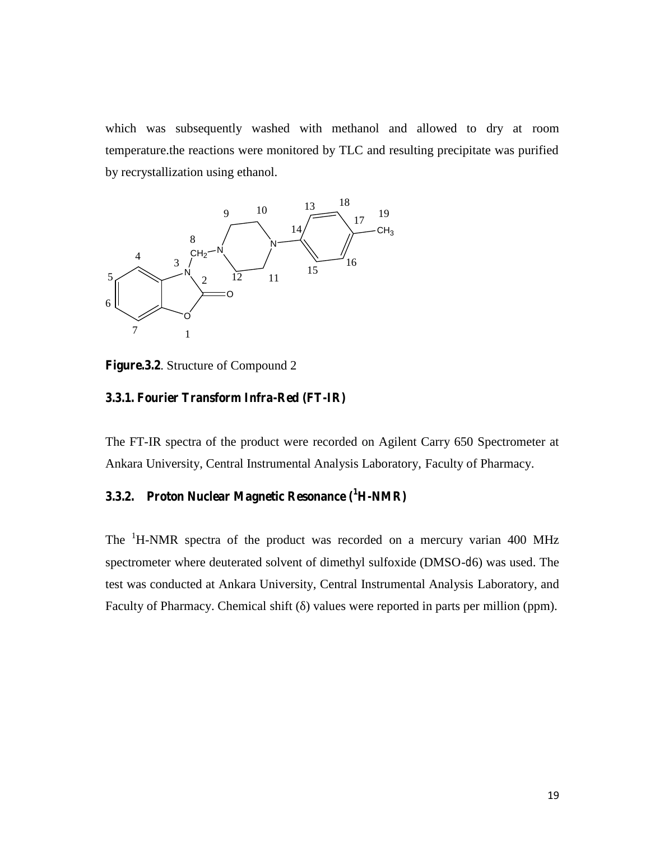which was subsequently washed with methanol and allowed to dry at room temperature.the reactions were monitored by TLC and resulting precipitate was purified by recrystallization using ethanol.



**Figure.3.2**. Structure of Compound 2

## **3.3.1. Fourier Transform Infra-Red (FT-IR)**

The FT-IR spectra of the product were recorded on Agilent Carry 650 Spectrometer at Ankara University, Central Instrumental Analysis Laboratory, Faculty of Pharmacy.

# **3.3.2. Proton Nuclear Magnetic Resonance (<sup>1</sup>H-NMR)**

The <sup>1</sup>H-NMR spectra of the product was recorded on a mercury varian 400 MHz spectrometer where deuterated solvent of dimethyl sulfoxide (DMSO-*d*6) was used. The test was conducted at Ankara University, Central Instrumental Analysis Laboratory, and Faculty of Pharmacy. Chemical shift ( ) values were reported in parts per million (ppm).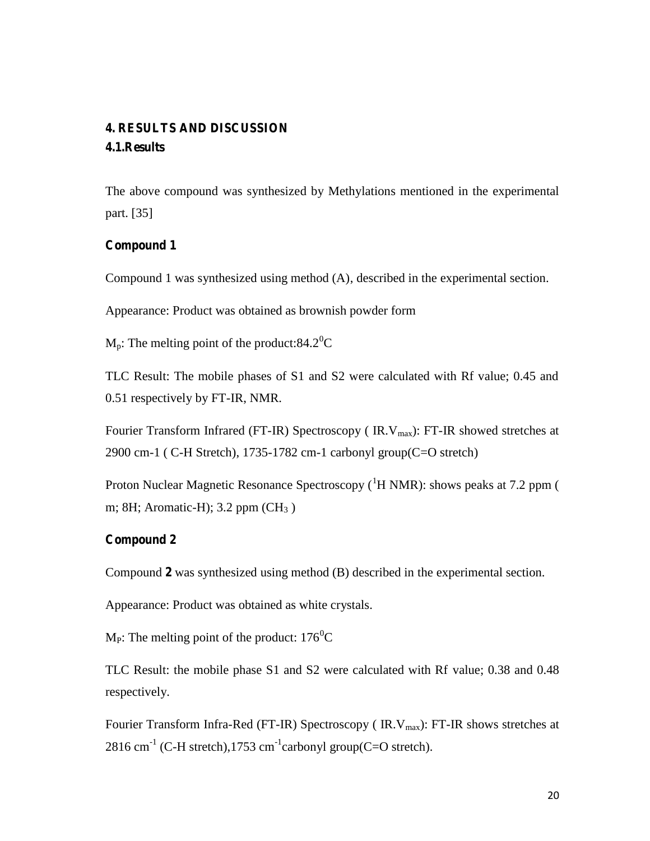# **4. RESULTS AND DISCUSSION 4.1.Results**

The above compound was synthesized by Methylations mentioned in the experimental part. [35]

## **Compound 1**

Compound 1 was synthesized using method (A), described in the experimental section.

Appearance: Product was obtained as brownish powder form

 $M_p$ : The melting point of the product:84.2<sup>0</sup>C

TLC Result: The mobile phases of S1 and S2 were calculated with Rf value; 0.45 and 0.51 respectively by FT-IR, NMR.

Fourier Transform Infrared (FT-IR) Spectroscopy (  $IR.V<sub>max</sub>$ ): FT-IR showed stretches at 2900 cm-1 ( C-H Stretch), 1735-1782 cm-1 carbonyl group(C=O stretch)

Proton Nuclear Magnetic Resonance Spectroscopy  $({}^{1}H NMR)$ : shows peaks at 7.2 ppm ( m; 8H; Aromatic-H); 3.2 ppm (CH<sub>3</sub>)

### **Compound 2**

Compound **2** was synthesized using method (B) described in the experimental section.

Appearance: Product was obtained as white crystals.

 $M_P$ : The melting point of the product: 176<sup>0</sup>C

TLC Result: the mobile phase S1 and S2 were calculated with Rf value; 0.38 and 0.48 respectively.

Fourier Transform Infra-Red (FT-IR) Spectroscopy (  $IR.V<sub>max</sub>$ ): FT-IR shows stretches at 2816 cm<sup>-1</sup> (C-H stretch),1753 cm<sup>-1</sup>carbonyl group(C=O stretch).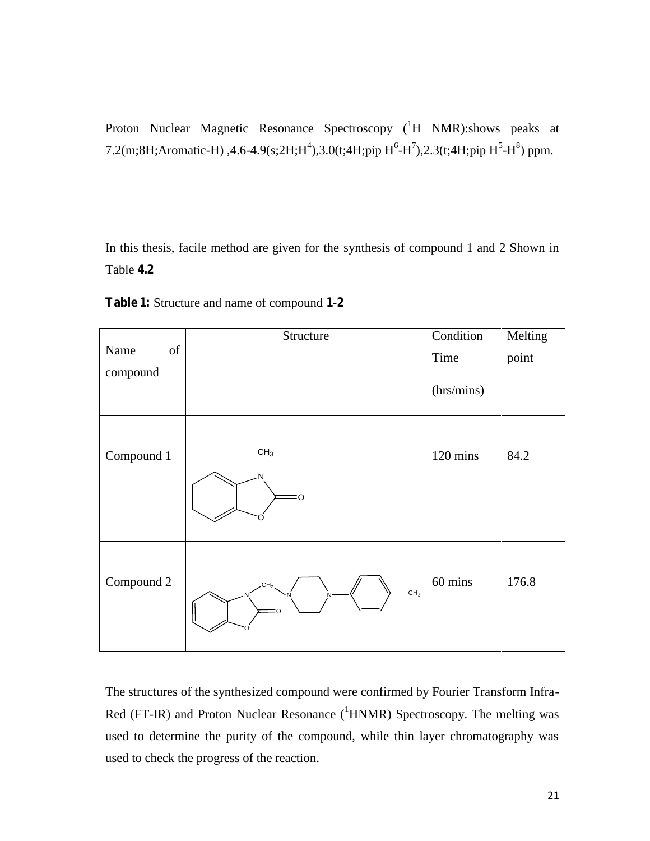Proton Nuclear Magnetic Resonance Spectroscopy  $(^1H$  NMR):shows peaks at 7.2(m;8H;Aromatic-H) ,4.6-4.9(s;2H;H<sup>4</sup>),3.0(t;4H;pip H<sup>6</sup>-H<sup>7</sup>),2.3(t;4H;pip H<sup>5</sup>-H<sup>8</sup>) ppm.

In this thesis, facile method are given for the synthesis of compound 1 and 2 Shown in Table **4.2**

|            | Structure                          | Condition  | Melting |
|------------|------------------------------------|------------|---------|
| of<br>Name |                                    | Time       | point   |
| compound   |                                    |            |         |
|            |                                    | (hrs/mins) |         |
|            |                                    |            |         |
|            |                                    |            |         |
| Compound 1 | CH <sub>3</sub>                    | 120 mins   | 84.2    |
|            |                                    |            |         |
|            | Ö                                  |            |         |
|            |                                    |            |         |
|            |                                    |            |         |
|            |                                    |            |         |
|            |                                    | 60 mins    | 176.8   |
| Compound 2 | CH <sub>2</sub><br>CH <sub>3</sub> |            |         |
|            | O                                  |            |         |
|            |                                    |            |         |
|            |                                    |            |         |

**Table 1:** Structure and name of compound **1**-**2**

The structures of the synthesized compound were confirmed by Fourier Transform Infra- Red (FT-IR) and Proton Nuclear Resonance  $(^1HNMR)$  Spectroscopy. The melting was used to determine the purity of the compound, while thin layer chromatography was used to check the progress of the reaction.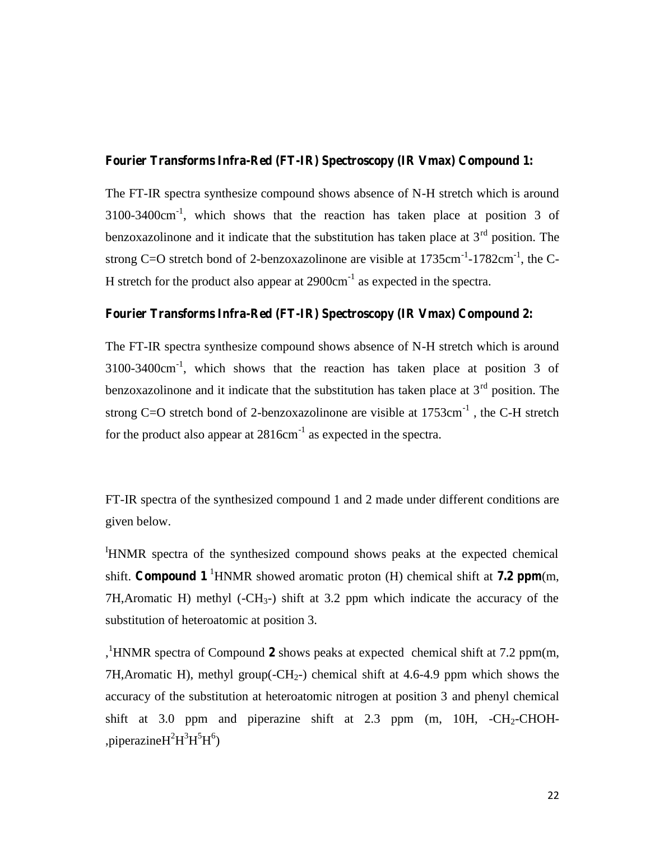#### **Fourier Transforms Infra-Red (FT-IR) Spectroscopy (IR Vmax) Compound 1:**

The FT-IR spectra synthesize compound shows absence of N-H stretch which is around 3100-3400cm-1 , which shows that the reaction has taken place at position 3 of benzoxazolinone and it indicate that the substitution has taken place at  $3<sup>rd</sup>$  position. The strong C=O stretch bond of 2-benzoxazolinone are visible at  $1735 \text{cm}^{-1}$ -1782 $\text{cm}^{-1}$ , the C-H stretch for the product also appear at  $2900 \text{cm}^{-1}$  as expected in the spectra.

#### **Fourier Transforms Infra-Red (FT-IR) Spectroscopy (IR Vmax) Compound 2:**

The FT-IR spectra synthesize compound shows absence of N-H stretch which is around 3100-3400cm-1 , which shows that the reaction has taken place at position 3 of benzoxazolinone and it indicate that the substitution has taken place at  $3<sup>rd</sup>$  position. The strong C=O stretch bond of 2-benzoxazolinone are visible at  $1753 \text{cm}^{-1}$ , the C-H stretch for the product also appear at  $2816 \text{cm}^{-1}$  as expected in the spectra.

FT-IR spectra of the synthesized compound 1 and 2 made under different conditions are given below.

<sup>I</sup>HNMR spectra of the synthesized compound shows peaks at the expected chemical shift. **Compound** 1<sup>1</sup>HNMR showed aromatic proton (H) chemical shift at **7.2 ppm**(m, 7H,Aromatic H) methyl (-CH<sub>3</sub>-) shift at 3.2 ppm which indicate the accuracy of the substitution of heteroatomic at position 3.

<sup>1</sup>HNMR spectra of Compound 2 shows peaks at expected chemical shift at 7.2 ppm(m, 7H,Aromatic H), methyl group( $-CH_2$ -) chemical shift at 4.6-4.9 ppm which shows the accuracy of the substitution at heteroatomic nitrogen at position 3 and phenyl chemical shift at 3.0 ppm and piperazine shift at 2.3 ppm  $(m, 10H, -CH<sub>2</sub>-CHOH-$ ,piperazine $\mathrm{H}^2\mathrm{H}^3\mathrm{H}^5\mathrm{H}^6$ )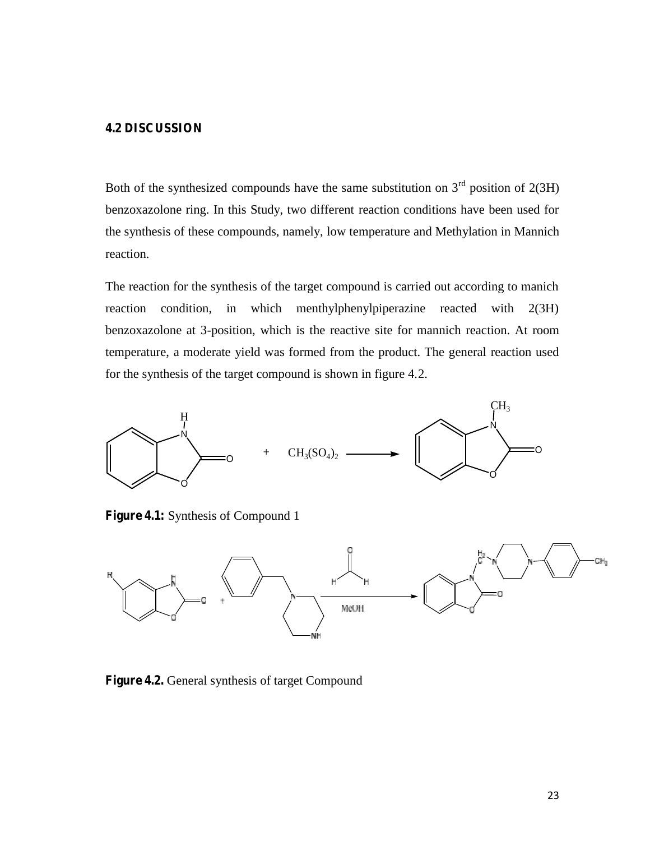### **4.2 DISCUSSION**

Both of the synthesized compounds have the same substitution on  $3<sup>rd</sup>$  position of 2(3H) benzoxazolone ring. In this Study, two different reaction conditions have been used for the synthesis of these compounds, namely, low temperature and Methylation in Mannich reaction.

The reaction for the synthesis of the target compound is carried out according to manich reaction condition, in which menthylphenylpiperazine reacted with 2(3H) benzoxazolone at 3-position, which is the reactive site for mannich reaction. At room temperature, a moderate yield was formed from the product. The general reaction used for the synthesis of the target compound is shown in figure 4.2.



**Figure 4.1:** Synthesis of Compound 1



**Figure 4.2.** General synthesis of target Compound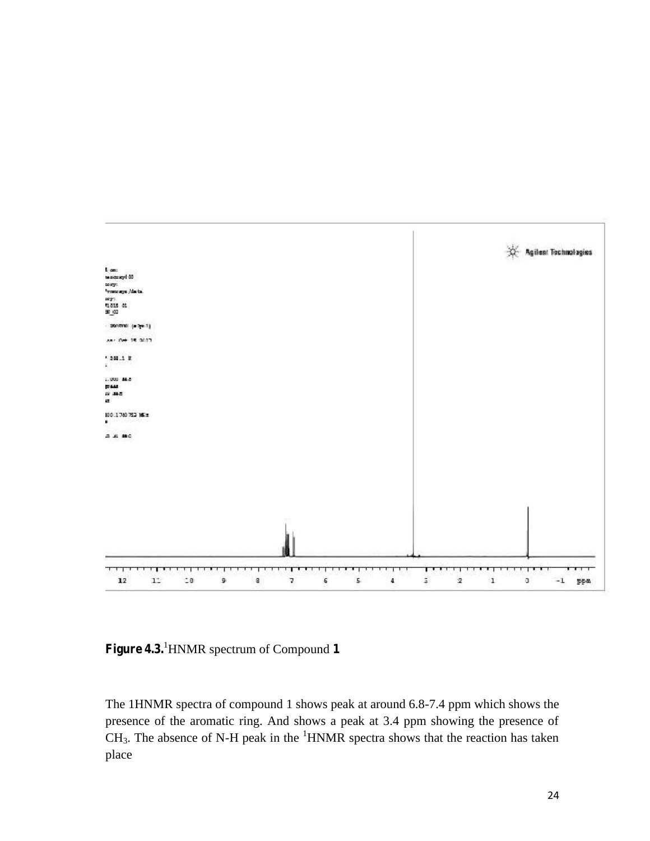

**Figure 4.3.**<sup>1</sup>HNMR spectrum of Compound **1**

The 1HNMR spectra of compound 1 shows peak at around 6.8-7.4 ppm which shows the presence of the aromatic ring. And shows a peak at 3.4 ppm showing the presence of  $CH<sub>3</sub>$ . The absence of N-H peak in the  $<sup>1</sup>HNMR$  spectra shows that the reaction has taken</sup> place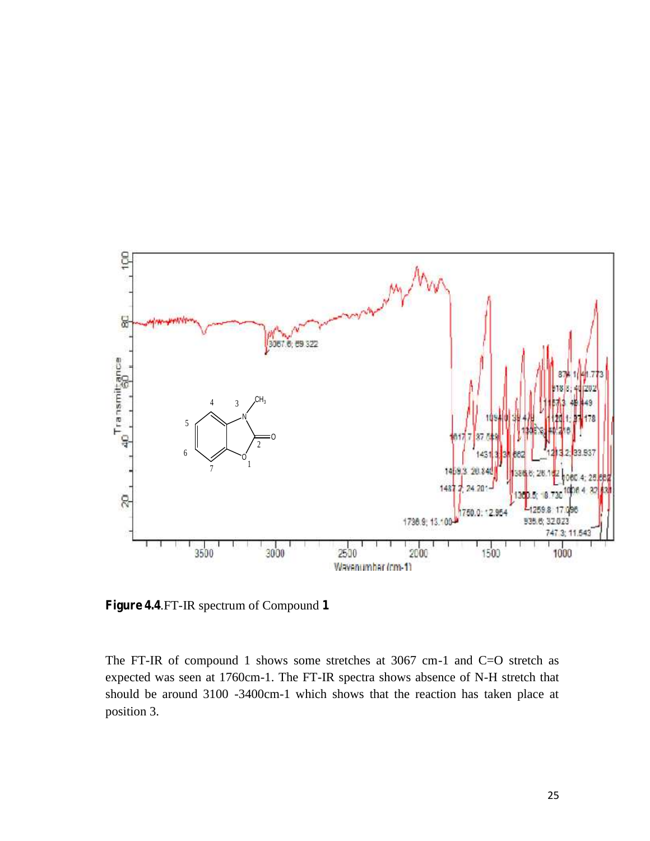

**Figure 4.4**.FT-IR spectrum of Compound **1**

The FT-IR of compound 1 shows some stretches at 3067 cm-1 and C=O stretch as expected was seen at 1760cm-1. The FT-IR spectra shows absence of N-H stretch that should be around 3100 -3400cm-1 which shows that the reaction has taken place at position 3.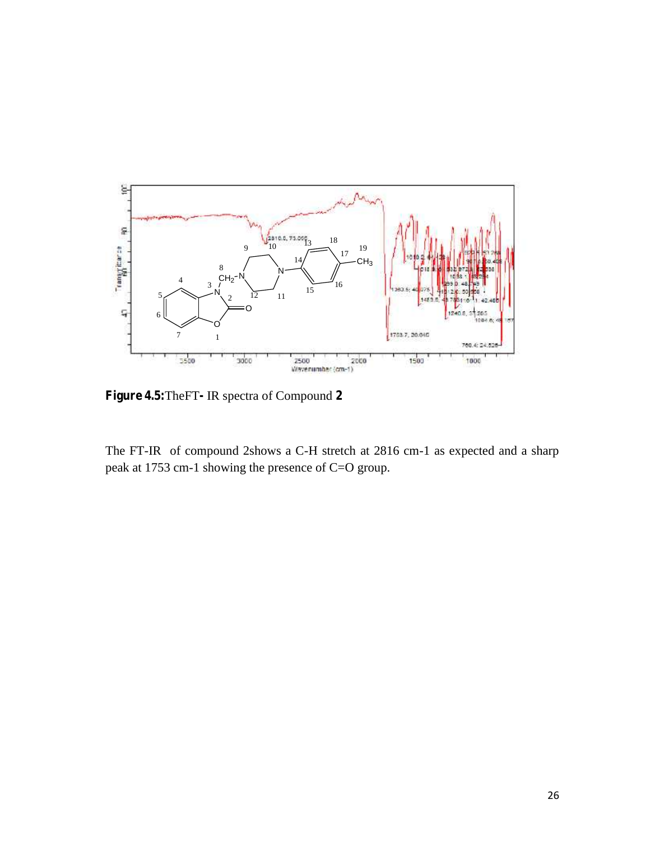

**Figure 4.5:**TheFT**-** IR spectra of Compound **2**

The FT-IR of compound 2shows a C-H stretch at 2816 cm-1 as expected and a sharp peak at 1753 cm-1 showing the presence of C=O group.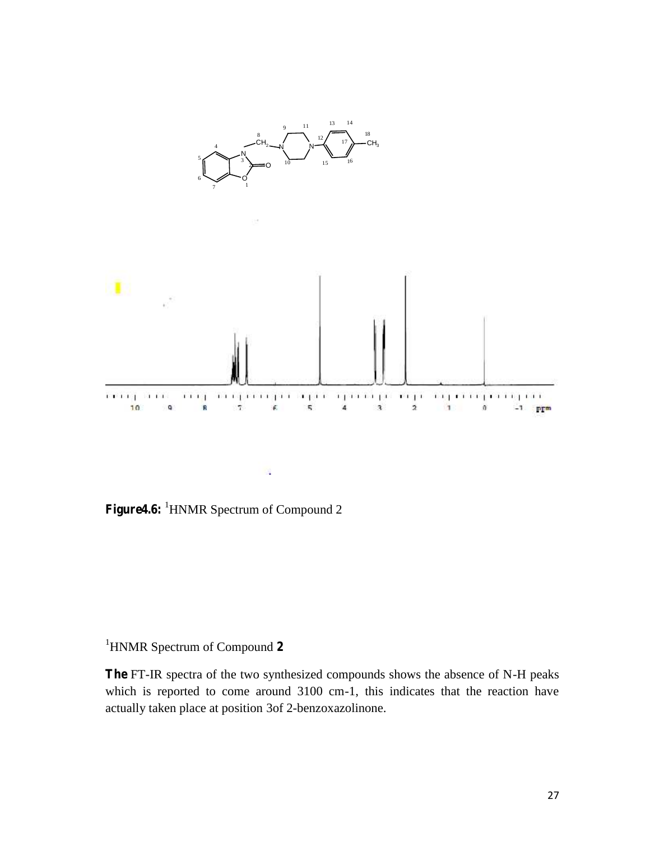

Figure4.6: <sup>1</sup>HNMR Spectrum of Compound 2

# HNMR Spectrum of Compound **2**

**The** FT-IR spectra of the two synthesized compounds shows the absence of N-H peaks which is reported to come around 3100 cm-1, this indicates that the reaction have actually taken place at position 3of 2-benzoxazolinone.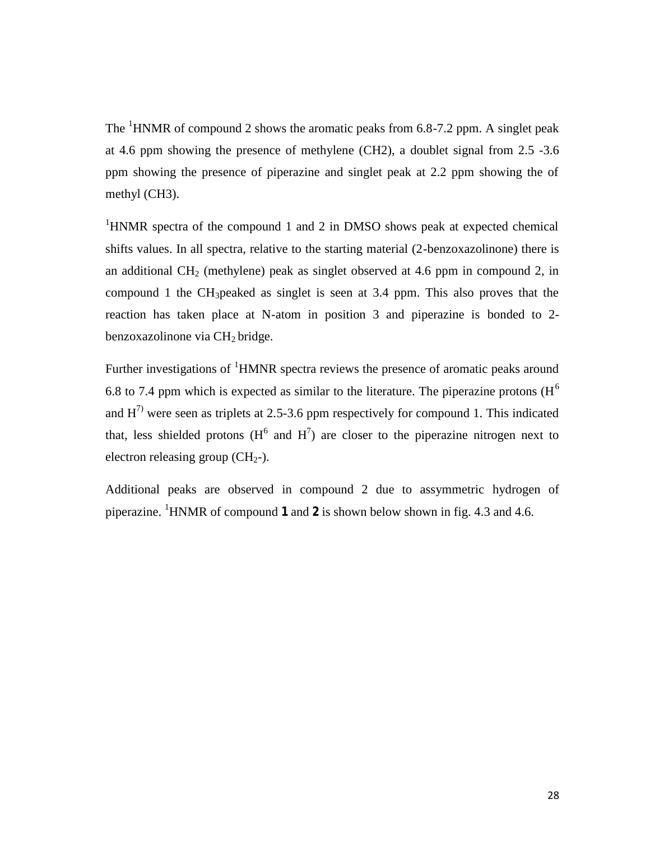The  $<sup>1</sup>HNMR$  of compound 2 shows the aromatic peaks from 6.8-7.2 ppm. A singlet peak</sup> at 4.6 ppm showing the presence of methylene (CH2), a doublet signal from 2.5 -3.6 ppm showing the presence of piperazine and singlet peak at 2.2 ppm showing the of methyl (CH3).

<sup>1</sup>HNMR spectra of the compound 1 and 2 in DMSO shows peak at expected chemical shifts values. In all spectra, relative to the starting material (2-benzoxazolinone) there is an additional  $CH<sub>2</sub>$  (methylene) peak as singlet observed at 4.6 ppm in compound 2, in compound 1 the CH3peaked as singlet is seen at 3.4 ppm. This also proves that the reaction has taken place at N-atom in position 3 and piperazine is bonded to 2 benzoxazolinone via CH<sub>2</sub> bridge.

Further investigations of  ${}^{1}$ HMNR spectra reviews the presence of aromatic peaks around 6.8 to 7.4 ppm which is expected as similar to the literature. The piperazine protons  $(H^6)$ and  $H^7$  were seen as triplets at 2.5-3.6 ppm respectively for compound 1. This indicated that, less shielded protons ( $H^6$  and  $H^7$ ) are closer to the piperazine nitrogen next to electron releasing group  $(CH_2$ -).

Additional peaks are observed in compound 2 due to assymmetric hydrogen of piperazine. <sup>1</sup>HNMR of compound **1** and **2** is shown below shown in fig. 4.3 and 4.6.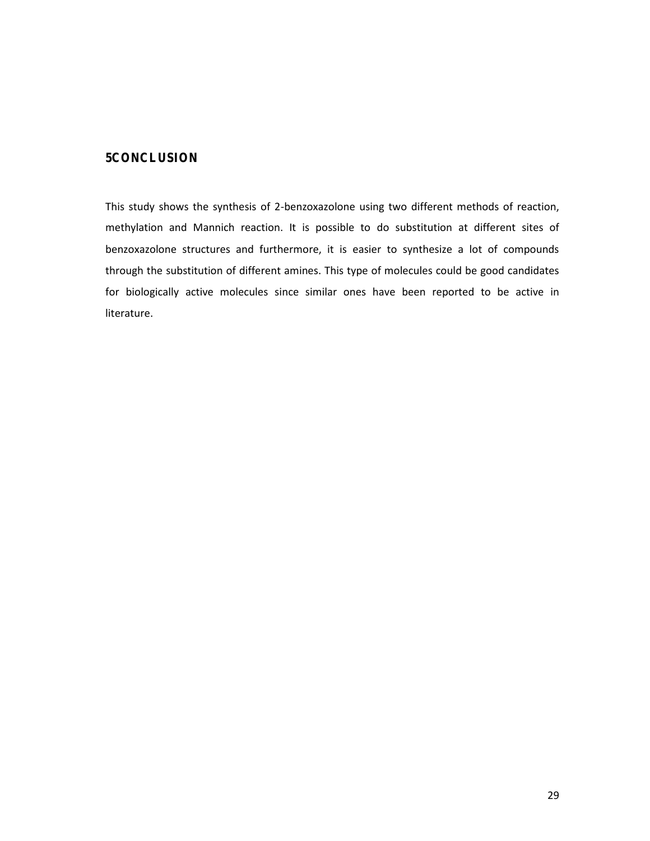# **5CONCLUSION**

This study shows the synthesis of 2-benzoxazolone using two different methods of reaction, methylation and Mannich reaction. It is possible to do substitution at different sites of benzoxazolone structures and furthermore, it is easier to synthesize a lot of compounds through the substitution of different amines. This type of molecules could be good candidates for biologically active molecules since similar ones have been reported to be active in literature.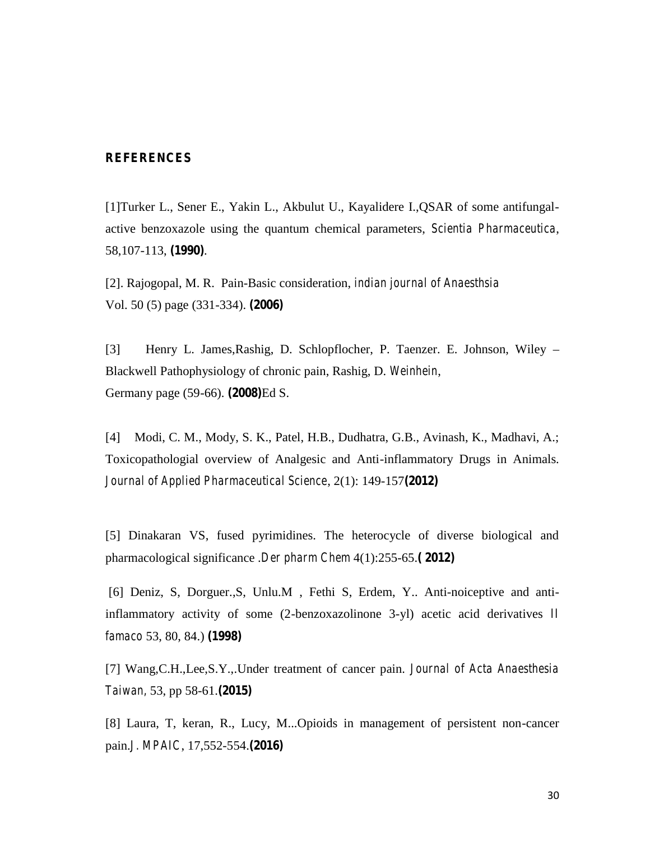#### **REFERENCES**

[1]Turker L., Sener E., Yakin L., Akbulut U., Kayalidere I.,QSAR of some antifungal active benzoxazole using the quantum chemical parameters, *Scientia Pharmaceutica*, 58,107-113, **(1990)**.

[2]. Rajogopal, M. R. Pain-Basic consideration, *indian journal of Anaesthsia* Vol. 50 (5) page (331-334). **(2006)**

[3] Henry L. James,Rashig, D. Schlopflocher, P. Taenzer. E. Johnson, Wiley – Blackwell Pathophysiology of chronic pain, Rashig, D. *Weinhein*, Germany page (59-66). **(2008)**Ed S.

[4] Modi, C. M., Mody, S. K., Patel, H.B., Dudhatra, G.B., Avinash, K., Madhavi, A.; Toxicopathologial overview of Analgesic and Anti-inflammatory Drugs in Animals. *Journal of Applied Pharmaceutical Science*, 2(1): 149-157**(2012)**

[5] Dinakaran VS, fused pyrimidines. The heterocycle of diverse biological and pharmacological significance .*Der pharm Chem* 4(1):255-65.**( 2012)**

[6] Deniz, S, Dorguer.,S, Unlu.M , Fethi S, Erdem, Y.. Anti-noiceptive and antiinflammatory activity of some (2-benzoxazolinone 3-yl) acetic acid derivatives *II famaco* 53, 80, 84.) **(1998)**

[7] Wang,C.H.,Lee,S.Y.,.Under treatment of cancer pain. *Journal of Acta Anaesthesia Taiwan,* 53, pp 58-61.**(2015)**

[8] Laura, T, keran, R., Lucy, M...Opioids in management of persistent non-cancer pain.*J. MPAIC*, 17,552-554.**(2016)**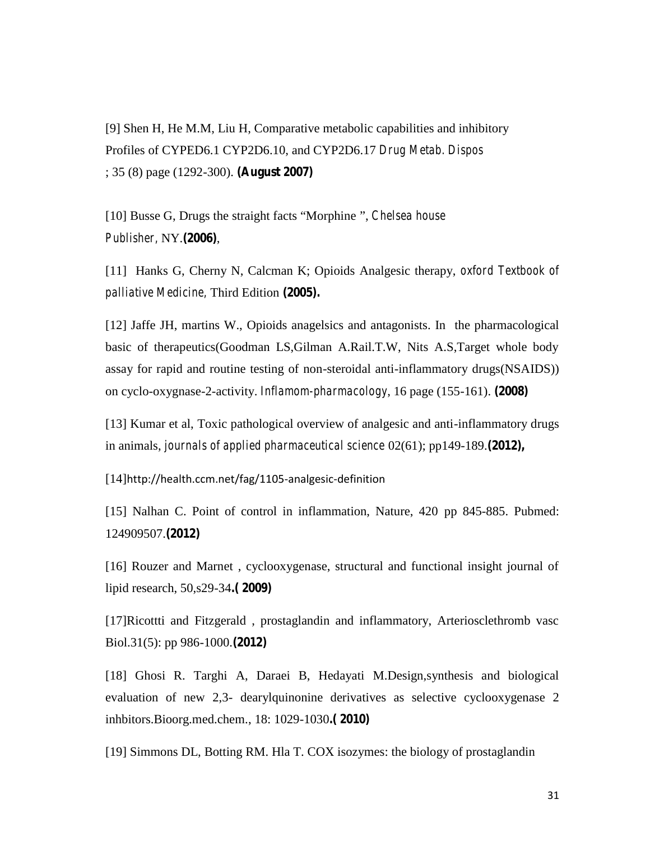[9] Shen H, He M.M, Liu H, Comparative metabolic capabilities and inhibitory Profiles of CYPED6.1 CYP2D6.10, and CYP2D6.17 *Drug Metab. Dispos* ; 35 (8) page (1292-300). **(August 2007)**

[10] Busse G, Drugs the straight facts "Morphine ", *Chelsea house Publisher,* NY.**(2006)**,

[11] Hanks G, Cherny N, Calcman K; Opioids Analgesic therapy, *oxford Textbook of palliative Medicine,* Third Edition **(2005).**

[12] Jaffe JH, martins W., Opioids anagelsics and antagonists. In the pharmacological basic of therapeutics(Goodman LS,Gilman A.Rail.T.W, Nits A.S,Target whole body assay for rapid and routine testing of non-steroidal anti-inflammatory drugs(NSAIDS)) on cyclo-oxygnase-2-activity. *Inflamom-pharmacology*, 16 page (155-161). **(2008)**

[13] Kumar et al, Toxic pathological overview of analgesic and anti-inflammatory drugs in animals, *journals of applied pharmaceutical science* 02(61); pp149-189.**(2012),**

[14]http://health.ccm.net/fag/1105-analgesic-definition

[15] Nalhan C. Point of control in inflammation, Nature, 420 pp 845-885. Pubmed: 124909507.**(2012)**

[16] Rouzer and Marnet , cyclooxygenase, structural and functional insight journal of lipid research, 50,s29-34**.( 2009)**

[17]Ricottti and Fitzgerald , prostaglandin and inflammatory, Arteriosclethromb vasc Biol.31(5): pp 986-1000.**(2012)**

[18] Ghosi R. Targhi A, Daraei B, Hedayati M.Design,synthesis and biological evaluation of new 2,3- dearylquinonine derivatives as selective cyclooxygenase 2 inhbitors.Bioorg.med.chem., 18: 1029-1030**.( 2010)**

[19] Simmons DL, Botting RM. Hla T. COX isozymes: the biology of prostaglandin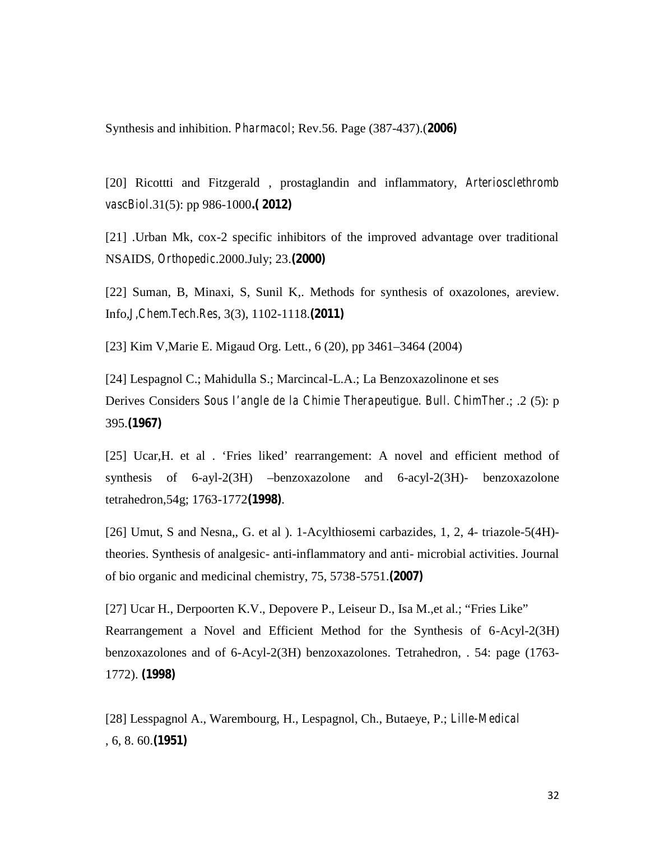Synthesis and inhibition. *Pharmacol*; Rev.56. Page (387-437).(**2006)**

[20] Ricottti and Fitzgerald , prostaglandin and inflammatory, *Arteriosclethromb vascBiol*.31(5): pp 986-1000**.( 2012)**

[21] .Urban Mk, cox-2 specific inhibitors of the improved advantage over traditional NSAIDS*, Orthopedic*.2000.July; 23.**(2000)**

[22] Suman, B, Minaxi, S, Sunil K,. Methods for synthesis of oxazolones, areview. Info,*J,Chem.Tech.Res*, 3(3), 1102-1118.**(2011)**

[23] Kim V,Marie E. Migaud Org. Lett., 6 (20), pp 3461–3464 (2004)

[24] Lespagnol C.; Mahidulla S.; Marcincal-L.A.; La Benzoxazolinone et ses Derives Considers *Sous I'angle de la Chimie Therapeutigue. Bull. ChimTher*.; .2 (5): p 395.**(1967)**

[25] Ucar, H. et al . 'Fries liked' rearrangement: A novel and efficient method of synthesis of 6-ayl-2(3H) –benzoxazolone and 6-acyl-2(3H)- benzoxazolone tetrahedron,54g; 1763-1772**(1998)**.

[26] Umut, S and Nesna,, G. et al ). 1-Acylthiosemi carbazides, 1, 2, 4- triazole-5(4H) theories. Synthesis of analgesic- anti-inflammatory and anti- microbial activities. Journal of bio organic and medicinal chemistry, 75, 5738-5751.**(2007)**

[27] Ucar H., Derpoorten K.V., Depovere P., Leiseur D., Isa M.,et al.; "Fries Like" Rearrangement a Novel and Efficient Method for the Synthesis of 6-Acyl-2(3H) benzoxazolones and of 6-Acyl-2(3H) benzoxazolones. Tetrahedron, . 54: page (1763- 1772). **(1998)**

[28] Lesspagnol A., Warembourg, H., Lespagnol, Ch., Butaeye, P.; *Lille-Medical* , 6, 8. 60.**(1951)**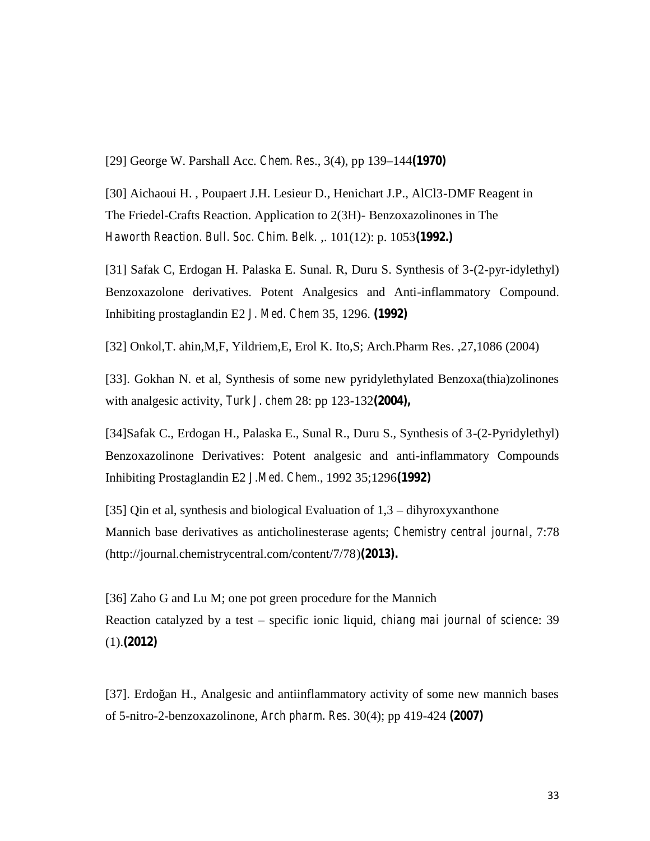[29] George W. Parshall Acc. *Chem. Res*., 3(4), pp 139–144**(1970)**

[30] Aichaoui H. , Poupaert J.H. Lesieur D., Henichart J.P., AlCl3-DMF Reagent in The Friedel-Crafts Reaction. Application to 2(3H)- Benzoxazolinones in The *Haworth Reaction. Bull. Soc. Chim. Belk.* ,. 101(12): p. 1053**(1992.)**

[31] Safak C, Erdogan H. Palaska E. Sunal. R, Duru S. Synthesis of 3-(2-pyr-idylethyl) Benzoxazolone derivatives. Potent Analgesics and Anti-inflammatory Compound. Inhibiting prostaglandin E2 *J. Med. Chem* 35, 1296. **(1992)**

[32] Onkol,T. ahin,M,F, Yildriem,E, Erol K. Ito,S; Arch.Pharm Res. ,27,1086 (2004)

[33]. Gokhan N. et al, Synthesis of some new pyridylethylated Benzoxa(thia)zolinones with analgesic activity, *Turk J. chem* 28: pp 123-132**(2004),**

[34]Safak C., Erdogan H., Palaska E., Sunal R., Duru S., Synthesis of 3-(2-Pyridylethyl) Benzoxazolinone Derivatives: Potent analgesic and anti-inflammatory Compounds Inhibiting Prostaglandin E2 *J.Med. Chem.*, 1992 35;1296**(1992)**

[35] Qin et al, synthesis and biological Evaluation of 1,3 – dihyroxyxanthone Mannich base derivatives as anticholinesterase agents; *Chemistry central journal*, 7:78 (http://journal.chemistrycentral.com/content/7/78)**(2013).**

[36] Zaho G and Lu M; one pot green procedure for the Mannich Reaction catalyzed by a test – specific ionic liquid, *chiang mai journal of science*: 39 (1).**(2012)**

[37]. Erdo an H., Analgesic and antiinflammatory activity of some new mannich bases of 5-nitro-2-benzoxazolinone, *Arch pharm. Res*. 30(4); pp 419-424 **(2007)**